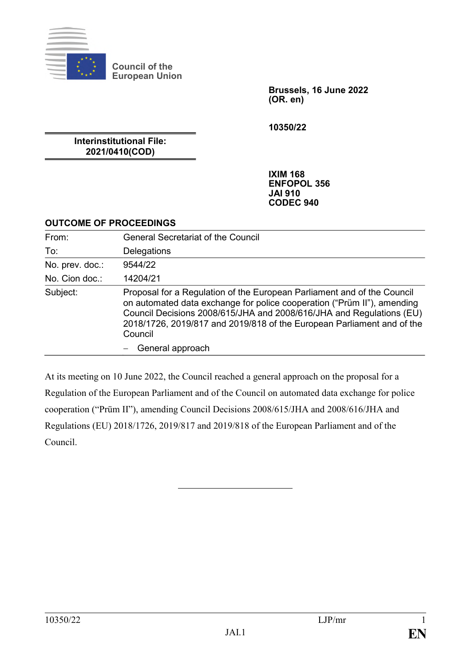

**Council of the European Union**

> **Brussels, 16 June 2022 (OR. en)**

**10350/22**

**Interinstitutional File: 2021/0410(COD)**

> **IXIM 168 ENFOPOL 356 JAI 910 CODEC 940**

### **OUTCOME OF PROCEEDINGS**

| From:           | <b>General Secretariat of the Council</b>                                                                                                                                                                                                                                                                       |
|-----------------|-----------------------------------------------------------------------------------------------------------------------------------------------------------------------------------------------------------------------------------------------------------------------------------------------------------------|
| To:             | Delegations                                                                                                                                                                                                                                                                                                     |
| No. prev. doc.: | 9544/22                                                                                                                                                                                                                                                                                                         |
| No. Cion doc.:  | 14204/21                                                                                                                                                                                                                                                                                                        |
| Subject:        | Proposal for a Regulation of the European Parliament and of the Council<br>on automated data exchange for police cooperation ("Prüm II"), amending<br>Council Decisions 2008/615/JHA and 2008/616/JHA and Regulations (EU)<br>2018/1726, 2019/817 and 2019/818 of the European Parliament and of the<br>Council |
|                 | General approach                                                                                                                                                                                                                                                                                                |

At its meeting on 10 June 2022, the Council reached a general approach on the proposal for a Regulation of the European Parliament and of the Council on automated data exchange for police cooperation ("Prüm II"), amending Council Decisions 2008/615/JHA and 2008/616/JHA and Regulations (EU) 2018/1726, 2019/817 and 2019/818 of the European Parliament and of the Council.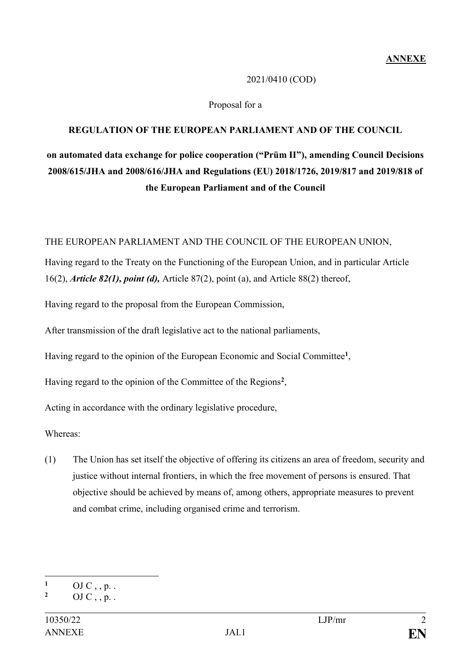### 2021/0410 (COD)

### Proposal for a

### **REGULATION OF THE EUROPEAN PARLIAMENT AND OF THE COUNCIL**

# **on automated data exchange for police cooperation ("Prüm II"), amending Council Decisions 2008/615/JHA and 2008/616/JHA and Regulations (EU) 2018/1726, 2019/817 and 2019/818 of the European Parliament and of the Council**

#### THE EUROPEAN PARLIAMENT AND THE COUNCIL OF THE EUROPEAN UNION,

Having regard to the Treaty on the Functioning of the European Union, and in particular Article 16(2), *Article 82(1), point (d),* Article 87(2), point (a), and Article 88(2) thereof,

Having regard to the proposal from the European Commission,

After transmission of the draft legislative act to the national parliaments,

Having regard to the opinion of the European Economic and Social Committee**<sup>1</sup>** ,

Having regard to the opinion of the Committee of the Regions**<sup>2</sup>** ,

Acting in accordance with the ordinary legislative procedure,

Whereas:

(1) The Union has set itself the objective of offering its citizens an area of freedom, security and justice without internal frontiers, in which the free movement of persons is ensured. That objective should be achieved by means of, among others, appropriate measures to prevent and combat crime, including organised crime and terrorism.

 $\mathbf{1}$  $\frac{1}{2}$  OJ C, , p. .

**<sup>2</sup>** OJ C , , p. .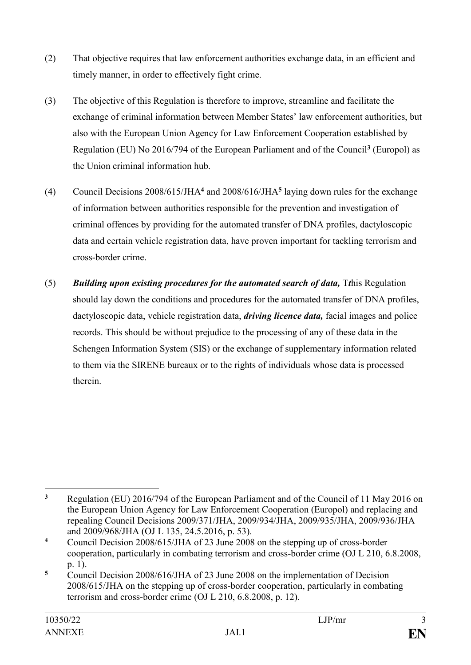- (2) That objective requires that law enforcement authorities exchange data, in an efficient and timely manner, in order to effectively fight crime.
- (3) The objective of this Regulation is therefore to improve, streamline and facilitate the exchange of criminal information between Member States' law enforcement authorities, but also with the European Union Agency for Law Enforcement Cooperation established by Regulation (EU) No 2016/794 of the European Parliament and of the Council**<sup>3</sup>** (Europol) as the Union criminal information hub.
- (4) Council Decisions 2008/615/JHA**<sup>4</sup>** and 2008/616/JHA**<sup>5</sup>** laying down rules for the exchange of information between authorities responsible for the prevention and investigation of criminal offences by providing for the automated transfer of DNA profiles, dactyloscopic data and certain vehicle registration data, have proven important for tackling terrorism and cross-border crime.
- (5) *Building upon existing procedures for the automated search of data,*  $\pm$ *this Regulation* should lay down the conditions and procedures for the automated transfer of DNA profiles, dactyloscopic data, vehicle registration data, *driving licence data,* facial images and police records. This should be without prejudice to the processing of any of these data in the Schengen Information System (SIS) or the exchange of supplementary information related to them via the SIRENE bureaux or to the rights of individuals whose data is processed therein.

 $\overline{3}$ **<sup>3</sup>** Regulation (EU) 2016/794 of the European Parliament and of the Council of 11 May 2016 on the European Union Agency for Law Enforcement Cooperation (Europol) and replacing and repealing Council Decisions 2009/371/JHA, 2009/934/JHA, 2009/935/JHA, 2009/936/JHA and 2009/968/JHA (OJ L 135, 24.5.2016, p. 53).

**<sup>4</sup>** Council Decision 2008/615/JHA of 23 June 2008 on the stepping up of cross-border cooperation, particularly in combating terrorism and cross-border crime (OJ L 210, 6.8.2008, p. 1).

**<sup>5</sup>** Council Decision 2008/616/JHA of 23 June 2008 on the implementation of Decision 2008/615/JHA on the stepping up of cross-border cooperation, particularly in combating terrorism and cross-border crime (OJ L 210, 6.8.2008, p. 12).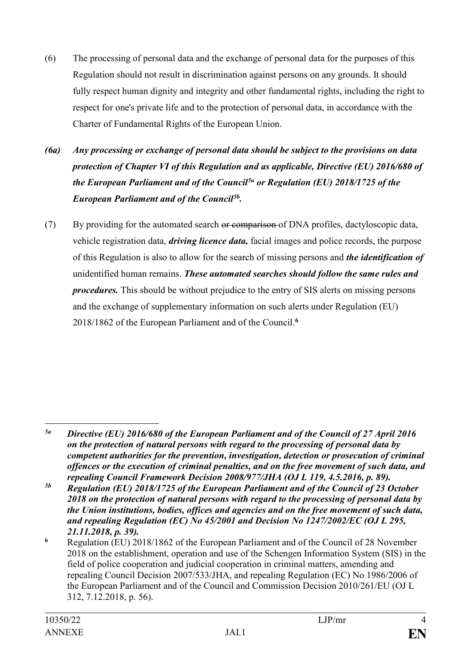- (6) The processing of personal data and the exchange of personal data for the purposes of this Regulation should not result in discrimination against persons on any grounds. It should fully respect human dignity and integrity and other fundamental rights, including the right to respect for one's private life and to the protection of personal data, in accordance with the Charter of Fundamental Rights of the European Union.
- *(6a) Any processing or exchange of personal data should be subject to the provisions on data protection of Chapter VI of this Regulation and as applicable, Directive (EU) 2016/680 of the European Parliament and of the Council5a or Regulation (EU) 2018/1725 of the European Parliament and of the Council5b .*
- (7) By providing for the automated search or comparison of DNA profiles, dactyloscopic data, vehicle registration data, *driving licence data,* facial images and police records, the purpose of this Regulation is also to allow for the search of missing persons and *the identification of* unidentified human remains. *These automated searches should follow the same rules and procedures.* This should be without prejudice to the entry of SIS alerts on missing persons and the exchange of supplementary information on such alerts under Regulation (EU) 2018/1862 of the European Parliament and of the Council.**<sup>6</sup>**

1

*<sup>5</sup>a Directive (EU) 2016/680 of the European Parliament and of the Council of 27 April 2016 on the protection of natural persons with regard to the processing of personal data by competent authorities for the prevention, investigation, detection or prosecution of criminal offences or the execution of criminal penalties, and on the free movement of such data, and repealing Council Framework Decision 2008/977/JHA (OJ L 119, 4.5.2016, p. 89).*

*<sup>5</sup>b Regulation (EU) 2018/1725 of the European Parliament and of the Council of 23 October 2018 on the protection of natural persons with regard to the processing of personal data by the Union institutions, bodies, offices and agencies and on the free movement of such data, and repealing Regulation (EC) No 45/2001 and Decision No 1247/2002/EC (OJ L 295, 21.11.2018, p. 39).*

**<sup>6</sup>** Regulation (EU) 2018/1862 of the European Parliament and of the Council of 28 November 2018 on the establishment, operation and use of the Schengen Information System (SIS) in the field of police cooperation and judicial cooperation in criminal matters, amending and repealing Council Decision 2007/533/JHA, and repealing Regulation (EC) No 1986/2006 of the European Parliament and of the Council and Commission Decision 2010/261/EU (OJ L 312, 7.12.2018, p. 56).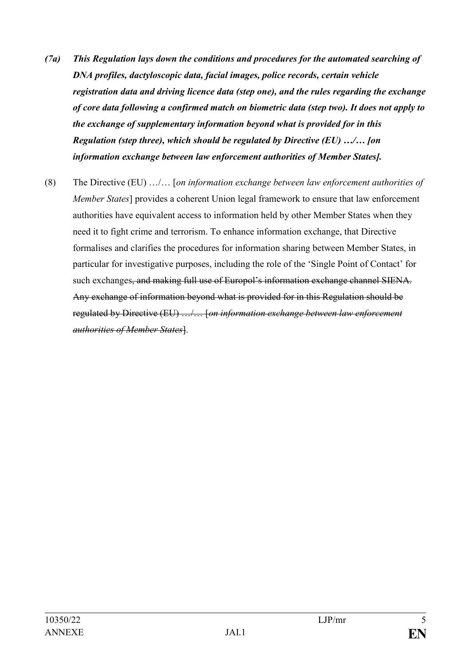- *(7a) This Regulation lays down the conditions and procedures for the automated searching of DNA profiles, dactyloscopic data, facial images, police records, certain vehicle registration data and driving licence data (step one), and the rules regarding the exchange of core data following a confirmed match on biometric data (step two). It does not apply to the exchange of supplementary information beyond what is provided for in this Regulation (step three), which should be regulated by Directive (EU) …/… [on information exchange between law enforcement authorities of Member States].*
- (8) The Directive (EU) …/… [*on information exchange between law enforcement authorities of Member States*] provides a coherent Union legal framework to ensure that law enforcement authorities have equivalent access to information held by other Member States when they need it to fight crime and terrorism. To enhance information exchange, that Directive formalises and clarifies the procedures for information sharing between Member States, in particular for investigative purposes, including the role of the 'Single Point of Contact' for such exchanges, and making full use of Europol's information exchange channel SIENA. Any exchange of information beyond what is provided for in this Regulation should be regulated by Directive (EU) …/… [*on information exchange between law enforcement authorities of Member States*].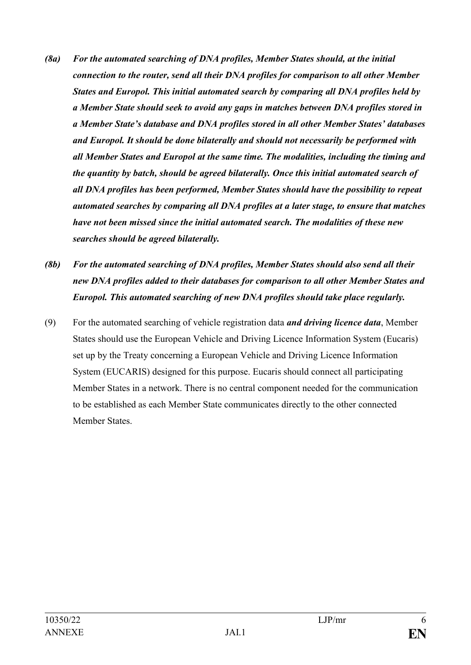- *(8a) For the automated searching of DNA profiles, Member States should, at the initial connection to the router, send all their DNA profiles for comparison to all other Member States and Europol. This initial automated search by comparing all DNA profiles held by a Member State should seek to avoid any gaps in matches between DNA profiles stored in a Member State's database and DNA profiles stored in all other Member States' databases and Europol. It should be done bilaterally and should not necessarily be performed with all Member States and Europol at the same time. The modalities, including the timing and the quantity by batch, should be agreed bilaterally. Once this initial automated search of all DNA profiles has been performed, Member States should have the possibility to repeat automated searches by comparing all DNA profiles at a later stage, to ensure that matches have not been missed since the initial automated search. The modalities of these new searches should be agreed bilaterally.*
- *(8b) For the automated searching of DNA profiles, Member States should also send all their new DNA profiles added to their databases for comparison to all other Member States and Europol. This automated searching of new DNA profiles should take place regularly.*
- (9) For the automated searching of vehicle registration data *and driving licence data*, Member States should use the European Vehicle and Driving Licence Information System (Eucaris) set up by the Treaty concerning a European Vehicle and Driving Licence Information System (EUCARIS) designed for this purpose. Eucaris should connect all participating Member States in a network. There is no central component needed for the communication to be established as each Member State communicates directly to the other connected Member States.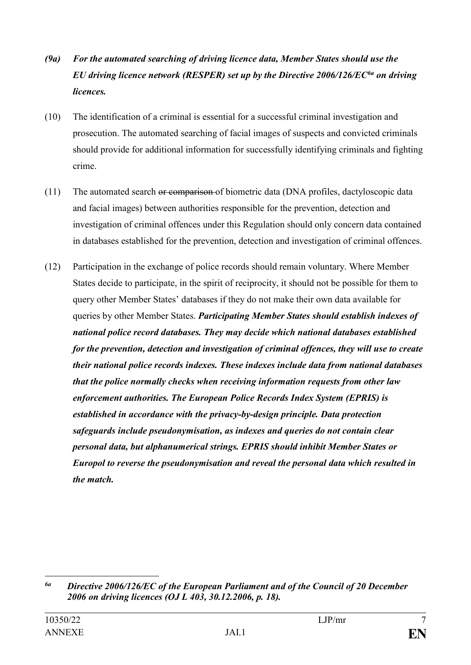- *(9a) For the automated searching of driving licence data, Member States should use the EU driving licence network (RESPER) set up by the Directive 2006/126/EC6a on driving licences.*
- (10) The identification of a criminal is essential for a successful criminal investigation and prosecution. The automated searching of facial images of suspects and convicted criminals should provide for additional information for successfully identifying criminals and fighting crime.
- (11) The automated search or comparison of biometric data (DNA profiles, dactyloscopic data and facial images) between authorities responsible for the prevention, detection and investigation of criminal offences under this Regulation should only concern data contained in databases established for the prevention, detection and investigation of criminal offences.
- (12) Participation in the exchange of police records should remain voluntary. Where Member States decide to participate, in the spirit of reciprocity, it should not be possible for them to query other Member States' databases if they do not make their own data available for queries by other Member States. *Participating Member States should establish indexes of national police record databases. They may decide which national databases established for the prevention, detection and investigation of criminal offences, they will use to create their national police records indexes. These indexes include data from national databases that the police normally checks when receiving information requests from other law enforcement authorities. The European Police Records Index System (EPRIS) is established in accordance with the privacy-by-design principle. Data protection safeguards include pseudonymisation, as indexes and queries do not contain clear personal data, but alphanumerical strings. EPRIS should inhibit Member States or Europol to reverse the pseudonymisation and reveal the personal data which resulted in the match.*

1

*<sup>6</sup>a Directive 2006/126/EC of the European Parliament and of the Council of 20 December 2006 on driving licences (OJ L 403, 30.12.2006, p. 18).*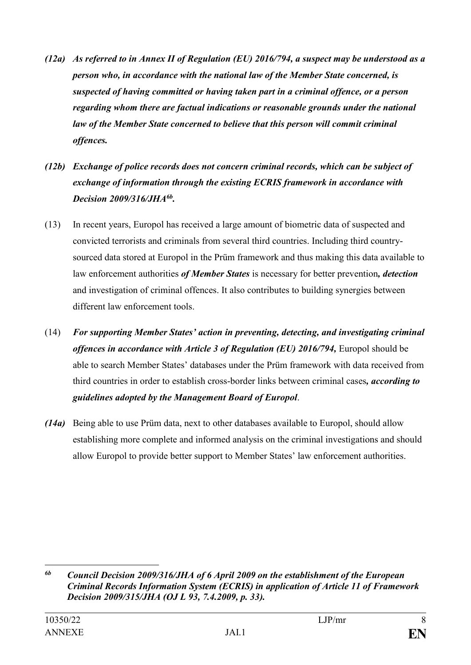- *(12a) As referred to in Annex II of Regulation (EU) 2016/794, a suspect may be understood as a person who, in accordance with the national law of the Member State concerned, is suspected of having committed or having taken part in a criminal offence, or a person regarding whom there are factual indications or reasonable grounds under the national law of the Member State concerned to believe that this person will commit criminal offences.*
- *(12b) Exchange of police records does not concern criminal records, which can be subject of exchange of information through the existing ECRIS framework in accordance with Decision 2009/316/JHA6b .*
- (13) In recent years, Europol has received a large amount of biometric data of suspected and convicted terrorists and criminals from several third countries. Including third countrysourced data stored at Europol in the Prüm framework and thus making this data available to law enforcement authorities *of Member States* is necessary for better prevention*, detection* and investigation of criminal offences. It also contributes to building synergies between different law enforcement tools.
- (14) *For supporting Member States' action in preventing, detecting, and investigating criminal offences in accordance with Article 3 of Regulation (EU) 2016/794, Europol should be* able to search Member States' databases under the Prüm framework with data received from third countries in order to establish cross-border links between criminal cases*, according to guidelines adopted by the Management Board of Europol*.
- *(14a)* Being able to use Prüm data, next to other databases available to Europol, should allow establishing more complete and informed analysis on the criminal investigations and should allow Europol to provide better support to Member States' law enforcement authorities.

<sup>1</sup> *6b Council Decision 2009/316/JHA of 6 April 2009 on the establishment of the European Criminal Records Information System (ECRIS) in application of Article 11 of Framework Decision 2009/315/JHA (OJ L 93, 7.4.2009, p. 33).*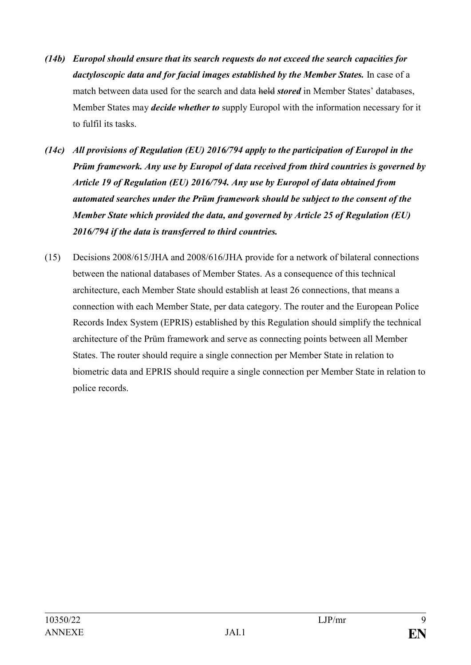- *(14b) Europol should ensure that its search requests do not exceed the search capacities for dactyloscopic data and for facial images established by the Member States.* In case of a match between data used for the search and data held *stored* in Member States' databases, Member States may *decide whether to* supply Europol with the information necessary for it to fulfil its tasks.
- *(14c) All provisions of Regulation (EU) 2016/794 apply to the participation of Europol in the Prüm framework. Any use by Europol of data received from third countries is governed by Article 19 of Regulation (EU) 2016/794. Any use by Europol of data obtained from automated searches under the Prüm framework should be subject to the consent of the Member State which provided the data, and governed by Article 25 of Regulation (EU) 2016/794 if the data is transferred to third countries.*
- (15) Decisions 2008/615/JHA and 2008/616/JHA provide for a network of bilateral connections between the national databases of Member States. As a consequence of this technical architecture, each Member State should establish at least 26 connections, that means a connection with each Member State, per data category. The router and the European Police Records Index System (EPRIS) established by this Regulation should simplify the technical architecture of the Prüm framework and serve as connecting points between all Member States. The router should require a single connection per Member State in relation to biometric data and EPRIS should require a single connection per Member State in relation to police records.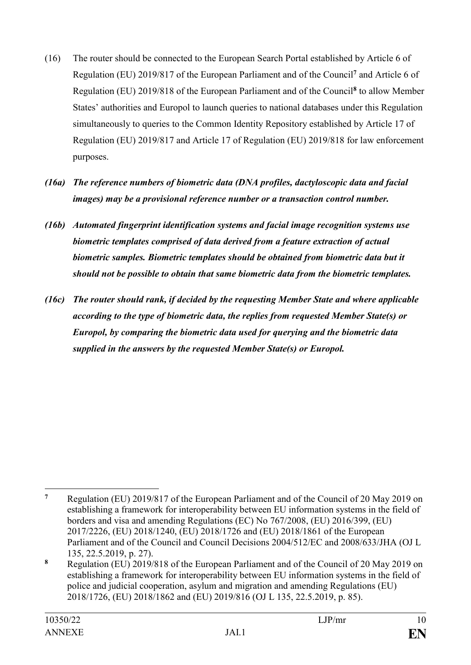- (16) The router should be connected to the European Search Portal established by Article 6 of Regulation (EU) 2019/817 of the European Parliament and of the Council**<sup>7</sup>** and Article 6 of Regulation (EU) 2019/818 of the European Parliament and of the Council**<sup>8</sup>** to allow Member States' authorities and Europol to launch queries to national databases under this Regulation simultaneously to queries to the Common Identity Repository established by Article 17 of Regulation (EU) 2019/817 and Article 17 of Regulation (EU) 2019/818 for law enforcement purposes.
- *(16a) The reference numbers of biometric data (DNA profiles, dactyloscopic data and facial images) may be a provisional reference number or a transaction control number.*
- *(16b) Automated fingerprint identification systems and facial image recognition systems use biometric templates comprised of data derived from a feature extraction of actual biometric samples. Biometric templates should be obtained from biometric data but it should not be possible to obtain that same biometric data from the biometric templates.*
- *(16c) The router should rank, if decided by the requesting Member State and where applicable according to the type of biometric data, the replies from requested Member State(s) or Europol, by comparing the biometric data used for querying and the biometric data supplied in the answers by the requested Member State(s) or Europol.*

 $\overline{7}$ **<sup>7</sup>** Regulation (EU) 2019/817 of the European Parliament and of the Council of 20 May 2019 on establishing a framework for interoperability between EU information systems in the field of borders and visa and amending Regulations (EC) No 767/2008, (EU) 2016/399, (EU) 2017/2226, (EU) 2018/1240, (EU) 2018/1726 and (EU) 2018/1861 of the European Parliament and of the Council and Council Decisions 2004/512/EC and 2008/633/JHA (OJ L 135, 22.5.2019, p. 27).

**<sup>8</sup>** Regulation (EU) 2019/818 of the European Parliament and of the Council of 20 May 2019 on establishing a framework for interoperability between EU information systems in the field of police and judicial cooperation, asylum and migration and amending Regulations (EU) 2018/1726, (EU) 2018/1862 and (EU) 2019/816 (OJ L 135, 22.5.2019, p. 85).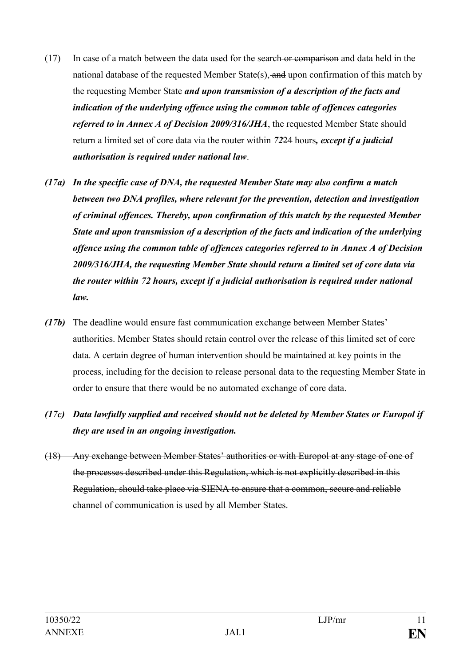- (17) In case of a match between the data used for the search or comparison and data held in the national database of the requested Member State(s), and upon confirmation of this match by the requesting Member State *and upon transmission of a description of the facts and indication of the underlying offence using the common table of offences categories referred to in Annex A of Decision 2009/316/JHA*, the requested Member State should return a limited set of core data via the router within *72*24 hours*, except if a judicial authorisation is required under national law*.
- *(17a) In the specific case of DNA, the requested Member State may also confirm a match between two DNA profiles, where relevant for the prevention, detection and investigation of criminal offences. Thereby, upon confirmation of this match by the requested Member State and upon transmission of a description of the facts and indication of the underlying offence using the common table of offences categories referred to in Annex A of Decision 2009/316/JHA, the requesting Member State should return a limited set of core data via the router within 72 hours, except if a judicial authorisation is required under national law.*
- *(17b)* The deadline would ensure fast communication exchange between Member States' authorities. Member States should retain control over the release of this limited set of core data. A certain degree of human intervention should be maintained at key points in the process, including for the decision to release personal data to the requesting Member State in order to ensure that there would be no automated exchange of core data.
- *(17c) Data lawfully supplied and received should not be deleted by Member States or Europol if they are used in an ongoing investigation.*
- (18) Any exchange between Member States' authorities or with Europol at any stage of one of the processes described under this Regulation, which is not explicitly described in this Regulation, should take place via SIENA to ensure that a common, secure and reliable channel of communication is used by all Member States.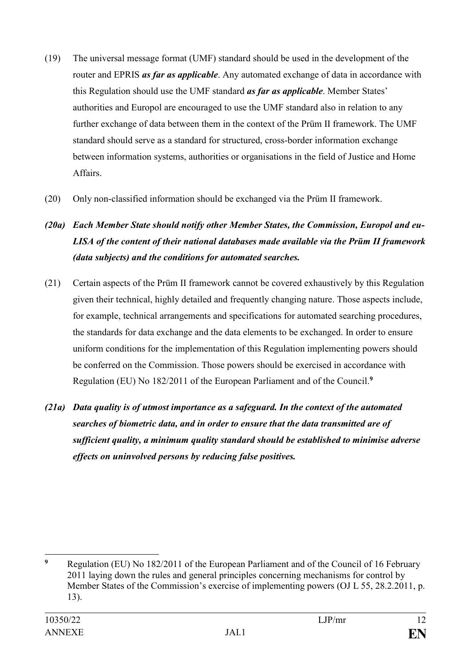- (19) The universal message format (UMF) standard should be used in the development of the router and EPRIS *as far as applicable*. Any automated exchange of data in accordance with this Regulation should use the UMF standard *as far as applicable*. Member States' authorities and Europol are encouraged to use the UMF standard also in relation to any further exchange of data between them in the context of the Prüm II framework. The UMF standard should serve as a standard for structured, cross-border information exchange between information systems, authorities or organisations in the field of Justice and Home Affairs.
- (20) Only non-classified information should be exchanged via the Prüm II framework.

# *(20a) Each Member State should notify other Member States, the Commission, Europol and eu-LISA of the content of their national databases made available via the Prüm II framework (data subjects) and the conditions for automated searches.*

- (21) Certain aspects of the Prüm II framework cannot be covered exhaustively by this Regulation given their technical, highly detailed and frequently changing nature. Those aspects include, for example, technical arrangements and specifications for automated searching procedures, the standards for data exchange and the data elements to be exchanged. In order to ensure uniform conditions for the implementation of this Regulation implementing powers should be conferred on the Commission. Those powers should be exercised in accordance with Regulation (EU) No 182/2011 of the European Parliament and of the Council.**<sup>9</sup>**
- *(21a) Data quality is of utmost importance as a safeguard. In the context of the automated searches of biometric data, and in order to ensure that the data transmitted are of sufficient quality, a minimum quality standard should be established to minimise adverse effects on uninvolved persons by reducing false positives.*

 $\overline{9}$ **<sup>9</sup>** Regulation (EU) No 182/2011 of the European Parliament and of the Council of 16 February 2011 laying down the rules and general principles concerning mechanisms for control by Member States of the Commission's exercise of implementing powers (OJ L 55, 28.2.2011, p. 13).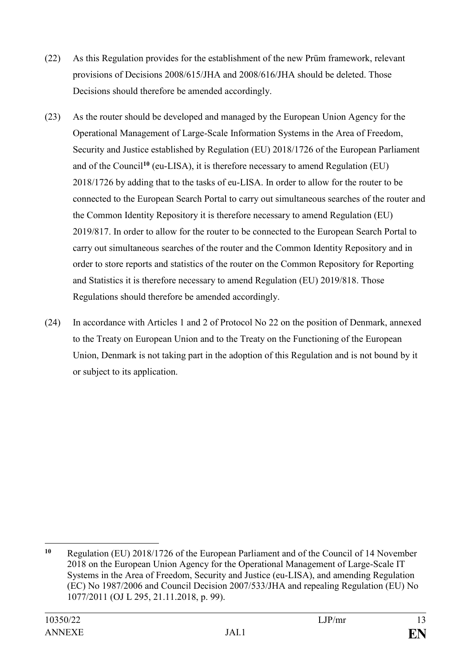- (22) As this Regulation provides for the establishment of the new Prüm framework, relevant provisions of Decisions 2008/615/JHA and 2008/616/JHA should be deleted. Those Decisions should therefore be amended accordingly.
- (23) As the router should be developed and managed by the European Union Agency for the Operational Management of Large-Scale Information Systems in the Area of Freedom, Security and Justice established by Regulation (EU) 2018/1726 of the European Parliament and of the Council**<sup>10</sup>** (eu-LISA), it is therefore necessary to amend Regulation (EU) 2018/1726 by adding that to the tasks of eu-LISA. In order to allow for the router to be connected to the European Search Portal to carry out simultaneous searches of the router and the Common Identity Repository it is therefore necessary to amend Regulation (EU) 2019/817. In order to allow for the router to be connected to the European Search Portal to carry out simultaneous searches of the router and the Common Identity Repository and in order to store reports and statistics of the router on the Common Repository for Reporting and Statistics it is therefore necessary to amend Regulation (EU) 2019/818. Those Regulations should therefore be amended accordingly.
- (24) In accordance with Articles 1 and 2 of Protocol No 22 on the position of Denmark, annexed to the Treaty on European Union and to the Treaty on the Functioning of the European Union, Denmark is not taking part in the adoption of this Regulation and is not bound by it or subject to its application.

1

**<sup>10</sup>** Regulation (EU) 2018/1726 of the European Parliament and of the Council of 14 November 2018 on the European Union Agency for the Operational Management of Large-Scale IT Systems in the Area of Freedom, Security and Justice (eu-LISA), and amending Regulation (EC) No 1987/2006 and Council Decision 2007/533/JHA and repealing Regulation (EU) No 1077/2011 (OJ L 295, 21.11.2018, p. 99).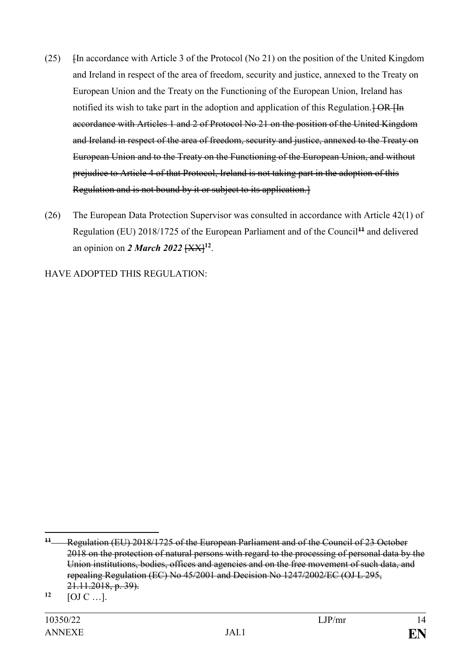- (25) [In accordance with Article 3 of the Protocol (No 21) on the position of the United Kingdom and Ireland in respect of the area of freedom, security and justice, annexed to the Treaty on European Union and the Treaty on the Functioning of the European Union, Ireland has notified its wish to take part in the adoption and application of this Regulation.  $\overline{+OR \text{ Hn}}$ accordance with Articles 1 and 2 of Protocol No 21 on the position of the United Kingdom and Ireland in respect of the area of freedom, security and justice, annexed to the Treaty on European Union and to the Treaty on the Functioning of the European Union, and without prejudice to Article 4 of that Protocol, Ireland is not taking part in the adoption of this Regulation and is not bound by it or subject to its application.]
- (26) The European Data Protection Supervisor was consulted in accordance with Article 42(1) of Regulation (EU) 2018/1725 of the European Parliament and of the Council**<sup>11</sup>** and delivered an opinion on *2 March 2022* [XX]**<sup>12</sup>** .

HAVE ADOPTED THIS REGULATION:

<u>.</u>

**<sup>11</sup>** Regulation (EU) 2018/1725 of the European Parliament and of the Council of 23 October 2018 on the protection of natural persons with regard to the processing of personal data by the Union institutions, bodies, offices and agencies and on the free movement of such data, and repealing Regulation (EC) No 45/2001 and Decision No 1247/2002/EC (OJ L 295, 21.11.2018, p. 39).

 $12$  [OJ C …].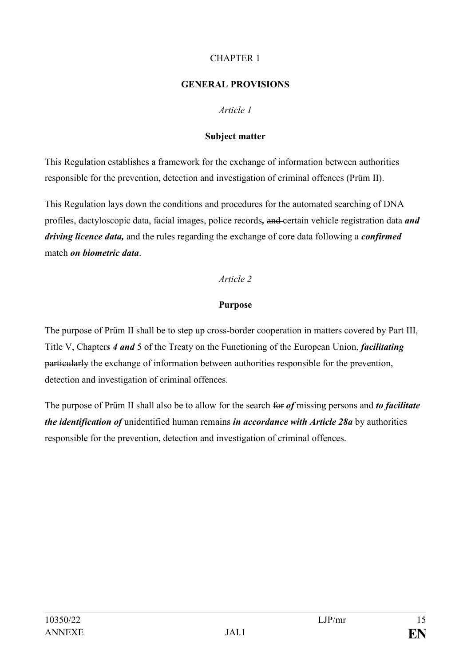### CHAPTER 1

### **GENERAL PROVISIONS**

### *Article 1*

### **Subject matter**

This Regulation establishes a framework for the exchange of information between authorities responsible for the prevention, detection and investigation of criminal offences (Prüm II).

This Regulation lays down the conditions and procedures for the automated searching of DNA profiles, dactyloscopic data, facial images, police records*,* and certain vehicle registration data *and driving licence data,* and the rules regarding the exchange of core data following a *confirmed* match *on biometric data*.

### *Article 2*

### **Purpose**

The purpose of Prüm II shall be to step up cross-border cooperation in matters covered by Part III, Title V, Chapter*s 4 and* 5 of the Treaty on the Functioning of the European Union, *facilitating* particularly the exchange of information between authorities responsible for the prevention, detection and investigation of criminal offences.

The purpose of Prüm II shall also be to allow for the search for *of* missing persons and *to facilitate the identification of* unidentified human remains *in accordance with Article 28a* by authorities responsible for the prevention, detection and investigation of criminal offences.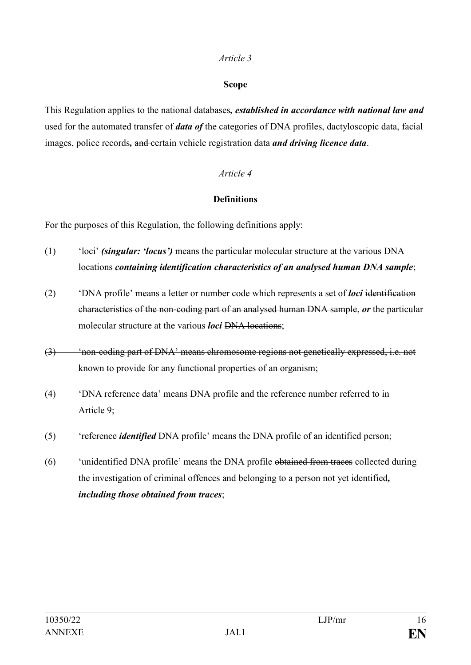### **Scope**

This Regulation applies to the national databases*, established in accordance with national law and* used for the automated transfer of *data of* the categories of DNA profiles, dactyloscopic data, facial images, police records*,* and certain vehicle registration data *and driving licence data*.

### *Article 4*

# **Definitions**

For the purposes of this Regulation, the following definitions apply:

- (1) 'loci' *(singular: 'locus')* means the particular molecular structure at the various DNA locations *containing identification characteristics of an analysed human DNA sample*;
- (2) 'DNA profile' means a letter or number code which represents a set of *loci* identification characteristics of the non-coding part of an analysed human DNA sample, *or* the particular molecular structure at the various *loci* DNA locations;
- (3) 'non-coding part of DNA' means chromosome regions not genetically expressed, i.e. not known to provide for any functional properties of an organism;
- (4) 'DNA reference data' means DNA profile and the reference number referred to in Article 9;
- (5) 'reference *identified* DNA profile' means the DNA profile of an identified person;
- (6) 'unidentified DNA profile' means the DNA profile obtained from traces collected during the investigation of criminal offences and belonging to a person not yet identified*, including those obtained from traces*;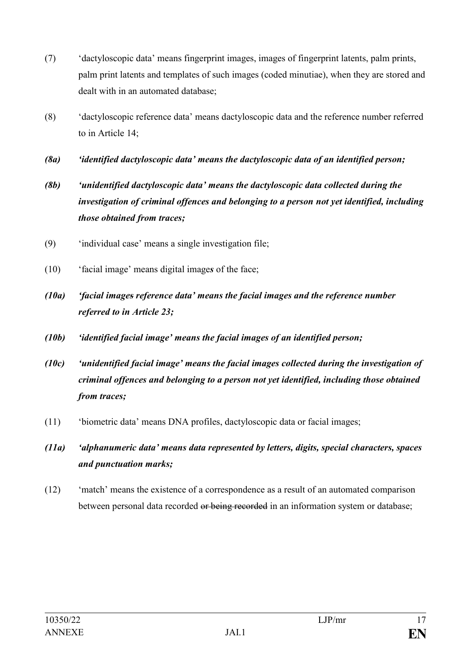- (7) 'dactyloscopic data' means fingerprint images, images of fingerprint latents, palm prints, palm print latents and templates of such images (coded minutiae), when they are stored and dealt with in an automated database;
- (8) 'dactyloscopic reference data' means dactyloscopic data and the reference number referred to in Article 14;
- *(8a) 'identified dactyloscopic data' means the dactyloscopic data of an identified person;*
- *(8b) 'unidentified dactyloscopic data' means the dactyloscopic data collected during the investigation of criminal offences and belonging to a person not yet identified, including those obtained from traces;*
- (9) 'individual case' means a single investigation file;
- (10) 'facial image' means digital image*s* of the face;
- *(10a) 'facial images reference data' means the facial images and the reference number referred to in Article 23;*
- *(10b) 'identified facial image' means the facial images of an identified person;*
- *(10c) 'unidentified facial image' means the facial images collected during the investigation of criminal offences and belonging to a person not yet identified, including those obtained from traces;*
- (11) 'biometric data' means DNA profiles, dactyloscopic data or facial images;
- *(11a) 'alphanumeric data' means data represented by letters, digits, special characters, spaces and punctuation marks;*
- (12) 'match' means the existence of a correspondence as a result of an automated comparison between personal data recorded or being recorded in an information system or database;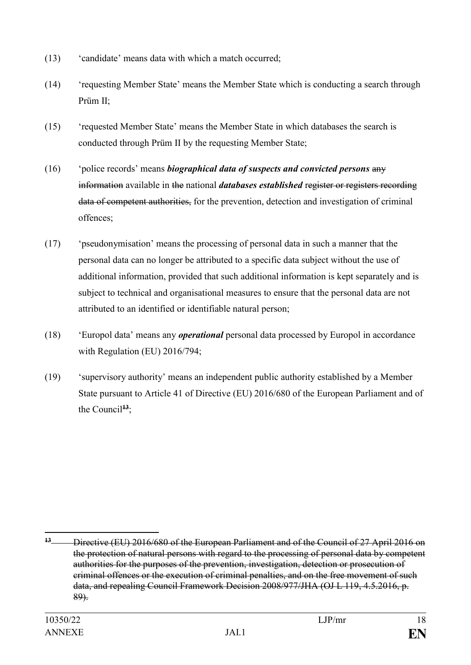- (13) 'candidate' means data with which a match occurred;
- (14) 'requesting Member State' means the Member State which is conducting a search through Prüm II<sup>.</sup>
- (15) 'requested Member State' means the Member State in which databases the search is conducted through Prüm II by the requesting Member State;
- (16) 'police records' means *biographical data of suspects and convicted persons* any information available in the national *databases established* register or registers recording data of competent authorities, for the prevention, detection and investigation of criminal offences;
- (17) 'pseudonymisation' means the processing of personal data in such a manner that the personal data can no longer be attributed to a specific data subject without the use of additional information, provided that such additional information is kept separately and is subject to technical and organisational measures to ensure that the personal data are not attributed to an identified or identifiable natural person;
- (18) 'Europol data' means any *operational* personal data processed by Europol in accordance with Regulation (EU) 2016/794;
- (19) 'supervisory authority' means an independent public authority established by a Member State pursuant to Article 41 of Directive (EU) 2016/680 of the European Parliament and of the Council<sup> $13$ </sup>;

<u>.</u>

**<sup>13</sup>** Directive (EU) 2016/680 of the European Parliament and of the Council of 27 April 2016 on the protection of natural persons with regard to the processing of personal data by competent authorities for the purposes of the prevention, investigation, detection or prosecution of criminal offences or the execution of criminal penalties, and on the free movement of such data, and repealing Council Framework Decision 2008/977/JHA (OJ L 119, 4.5.2016, p. 89).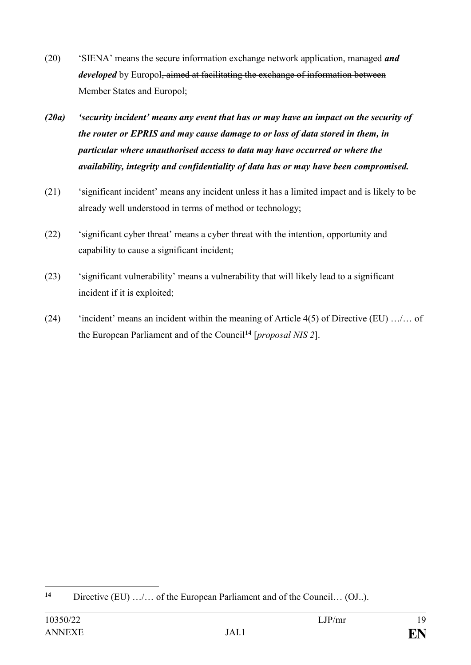- (20) 'SIENA' means the secure information exchange network application, managed *and developed* by Europol, aimed at facilitating the exchange of information between Member States and Europol;
- *(20a) 'security incident' means any event that has or may have an impact on the security of the router or EPRIS and may cause damage to or loss of data stored in them, in particular where unauthorised access to data may have occurred or where the availability, integrity and confidentiality of data has or may have been compromised.*
- (21) 'significant incident' means any incident unless it has a limited impact and is likely to be already well understood in terms of method or technology;
- (22) 'significant cyber threat' means a cyber threat with the intention, opportunity and capability to cause a significant incident;
- (23) 'significant vulnerability' means a vulnerability that will likely lead to a significant incident if it is exploited;
- (24) 'incident' means an incident within the meaning of Article  $4(5)$  of Directive (EU) .../... of the European Parliament and of the Council**<sup>14</sup>** [*proposal NIS 2*].

 $14$ Directive (EU) …/… of the European Parliament and of the Council… (OJ..).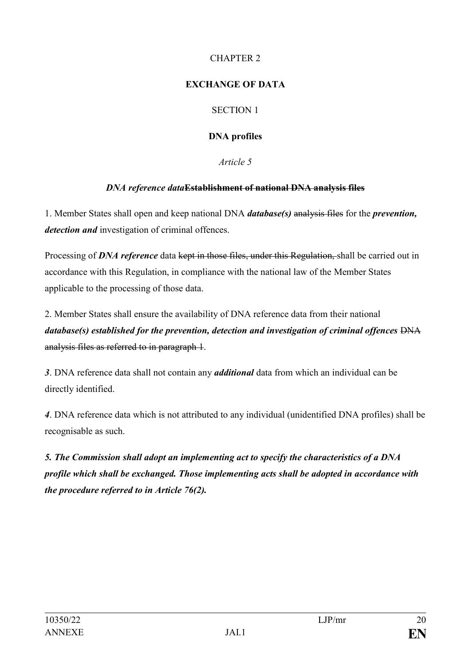# CHAPTER 2

# **EXCHANGE OF DATA**

# SECTION 1

# **DNA profiles**

*Article 5*

# *DNA reference data***Establishment of national DNA analysis files**

1. Member States shall open and keep national DNA *database(s)* analysis files for the *prevention, detection and* investigation of criminal offences.

Processing of *DNA reference* data kept in those files, under this Regulation, shall be carried out in accordance with this Regulation, in compliance with the national law of the Member States applicable to the processing of those data.

2. Member States shall ensure the availability of DNA reference data from their national *database(s) established for the prevention, detection and investigation of criminal offences*  $\overline{DNA}$ analysis files as referred to in paragraph 1.

*3*. DNA reference data shall not contain any *additional* data from which an individual can be directly identified.

*4*. DNA reference data which is not attributed to any individual (unidentified DNA profiles) shall be recognisable as such.

*5. The Commission shall adopt an implementing act to specify the characteristics of a DNA profile which shall be exchanged. Those implementing acts shall be adopted in accordance with the procedure referred to in Article 76(2).*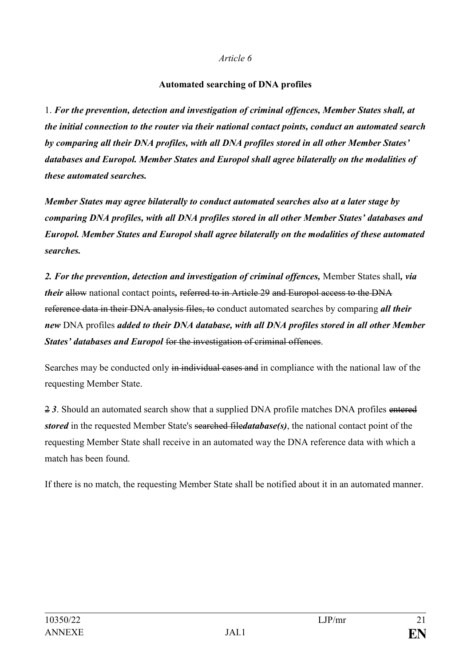### **Automated searching of DNA profiles**

1. *For the prevention, detection and investigation of criminal offences, Member States shall, at the initial connection to the router via their national contact points, conduct an automated search by comparing all their DNA profiles, with all DNA profiles stored in all other Member States' databases and Europol. Member States and Europol shall agree bilaterally on the modalities of these automated searches.*

*Member States may agree bilaterally to conduct automated searches also at a later stage by comparing DNA profiles, with all DNA profiles stored in all other Member States' databases and Europol. Member States and Europol shall agree bilaterally on the modalities of these automated searches.*

*2. For the prevention, detection and investigation of criminal offences,* Member States shall*, via their* allow national contact points, referred to in Article 29 and Europol access to the DNA reference data in their DNA analysis files, to conduct automated searches by comparing *all their new* DNA profiles *added to their DNA database, with all DNA profiles stored in all other Member States' databases and Europol* for the investigation of criminal offences.

Searches may be conducted only in individual cases and in compliance with the national law of the requesting Member State.

2 *3*. Should an automated search show that a supplied DNA profile matches DNA profiles entered *stored* in the requested Member State's searched file*database(s)*, the national contact point of the requesting Member State shall receive in an automated way the DNA reference data with which a match has been found.

If there is no match, the requesting Member State shall be notified about it in an automated manner.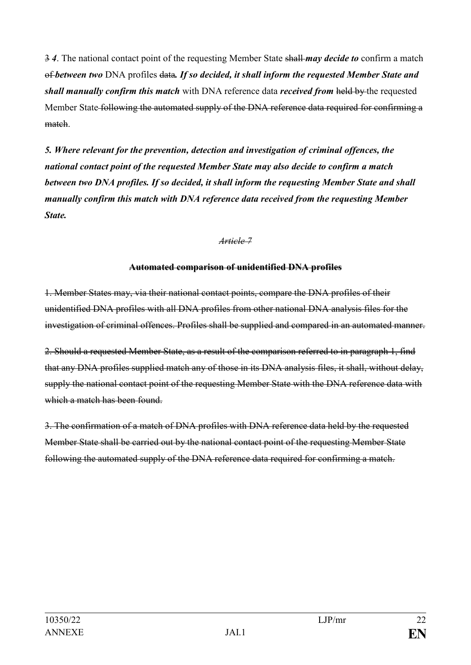3 *4*. The national contact point of the requesting Member State shall *may decide to* confirm a match of *between two* DNA profiles data*. If so decided, it shall inform the requested Member State and shall manually confirm this match* with DNA reference data *received from* held by the requested Member State following the automated supply of the DNA reference data required for confirming a match.

*5. Where relevant for the prevention, detection and investigation of criminal offences, the national contact point of the requested Member State may also decide to confirm a match between two DNA profiles. If so decided, it shall inform the requesting Member State and shall manually confirm this match with DNA reference data received from the requesting Member State.*

### *Article 7*

### **Automated comparison of unidentified DNA profiles**

1. Member States may, via their national contact points, compare the DNA profiles of their unidentified DNA profiles with all DNA profiles from other national DNA analysis files for the investigation of criminal offences. Profiles shall be supplied and compared in an automated manner.

2. Should a requested Member State, as a result of the comparison referred to in paragraph 1, find that any DNA profiles supplied match any of those in its DNA analysis files, it shall, without delay, supply the national contact point of the requesting Member State with the DNA reference data with which a match has been found.

3. The confirmation of a match of DNA profiles with DNA reference data held by the requested Member State shall be carried out by the national contact point of the requesting Member State following the automated supply of the DNA reference data required for confirming a match.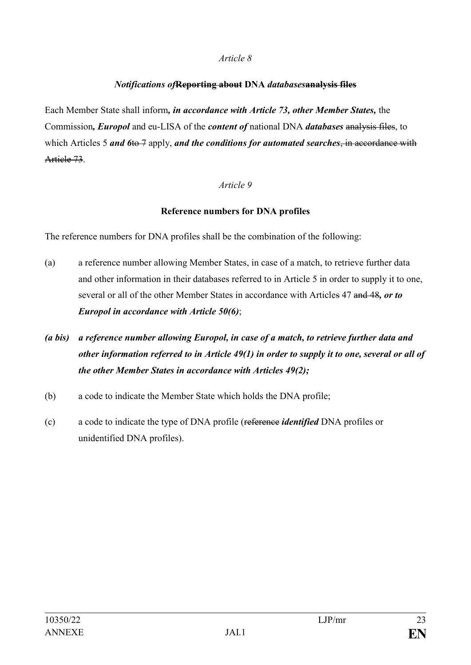### *Notifications of***Reporting about DNA** *databases***analysis files**

Each Member State shall inform*, in accordance with Article 73, other Member States,* the Commission*, Europol* and eu-LISA of the *content of* national DNA *databases* analysis files, to which Articles 5 *and* 6to 7 apply, *and the conditions for automated searches*, in accordance with Article 73.

### *Article 9*

### **Reference numbers for DNA profiles**

The reference numbers for DNA profiles shall be the combination of the following:

- (a) a reference number allowing Member States, in case of a match, to retrieve further data and other information in their databases referred to in Article 5 in order to supply it to one, several or all of the other Member States in accordance with Articles 47 and 48*, or to Europol in accordance with Article 50(6)*;
- *(a bis) a reference number allowing Europol, in case of a match, to retrieve further data and other information referred to in Article 49(1) in order to supply it to one, several or all of the other Member States in accordance with Articles 49(2);*
- (b) a code to indicate the Member State which holds the DNA profile;
- (c) a code to indicate the type of DNA profile (reference *identified* DNA profiles or unidentified DNA profiles).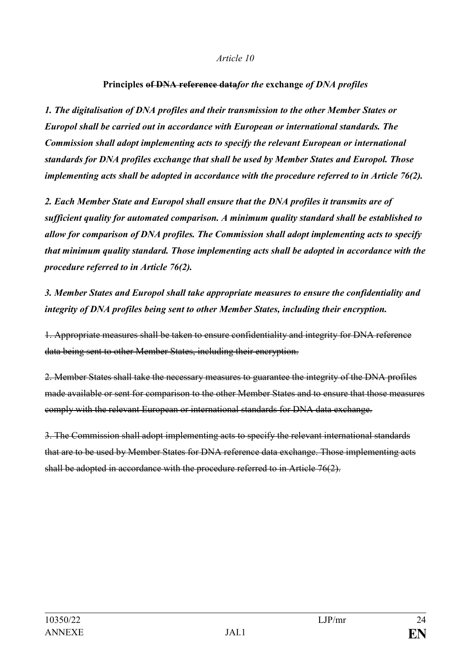#### **Principles of DNA reference data***for the* **exchange** *of DNA profiles*

*1. The digitalisation of DNA profiles and their transmission to the other Member States or Europol shall be carried out in accordance with European or international standards. The Commission shall adopt implementing acts to specify the relevant European or international standards for DNA profiles exchange that shall be used by Member States and Europol. Those implementing acts shall be adopted in accordance with the procedure referred to in Article 76(2).*

*2. Each Member State and Europol shall ensure that the DNA profiles it transmits are of sufficient quality for automated comparison. A minimum quality standard shall be established to allow for comparison of DNA profiles. The Commission shall adopt implementing acts to specify that minimum quality standard. Those implementing acts shall be adopted in accordance with the procedure referred to in Article 76(2).*

*3. Member States and Europol shall take appropriate measures to ensure the confidentiality and integrity of DNA profiles being sent to other Member States, including their encryption.*

1. Appropriate measures shall be taken to ensure confidentiality and integrity for DNA reference data being sent to other Member States, including their encryption.

2. Member States shall take the necessary measures to guarantee the integrity of the DNA profiles made available or sent for comparison to the other Member States and to ensure that those measures comply with the relevant European or international standards for DNA data exchange.

3. The Commission shall adopt implementing acts to specify the relevant international standards that are to be used by Member States for DNA reference data exchange. Those implementing acts shall be adopted in accordance with the procedure referred to in Article 76(2).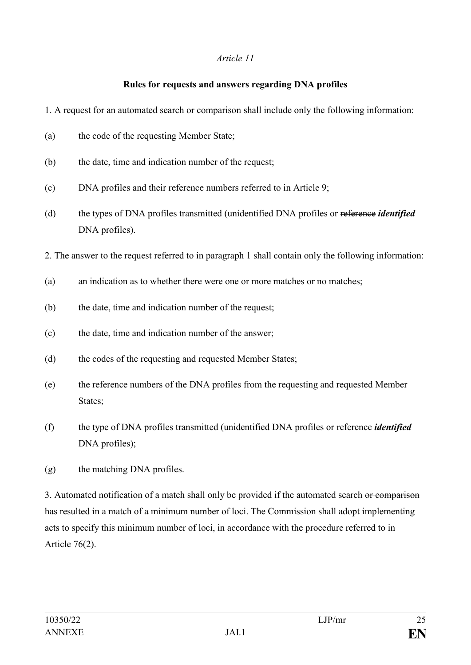### **Rules for requests and answers regarding DNA profiles**

- 1. A request for an automated search or comparison shall include only the following information:
- (a) the code of the requesting Member State;
- (b) the date, time and indication number of the request;
- (c) DNA profiles and their reference numbers referred to in Article 9;
- (d) the types of DNA profiles transmitted (unidentified DNA profiles or reference *identified* DNA profiles).
- 2. The answer to the request referred to in paragraph 1 shall contain only the following information:
- (a) an indication as to whether there were one or more matches or no matches;
- (b) the date, time and indication number of the request;
- (c) the date, time and indication number of the answer;
- (d) the codes of the requesting and requested Member States;
- (e) the reference numbers of the DNA profiles from the requesting and requested Member States;
- (f) the type of DNA profiles transmitted (unidentified DNA profiles or reference *identified* DNA profiles);
- (g) the matching DNA profiles.

3. Automated notification of a match shall only be provided if the automated search or comparison has resulted in a match of a minimum number of loci. The Commission shall adopt implementing acts to specify this minimum number of loci, in accordance with the procedure referred to in Article 76(2).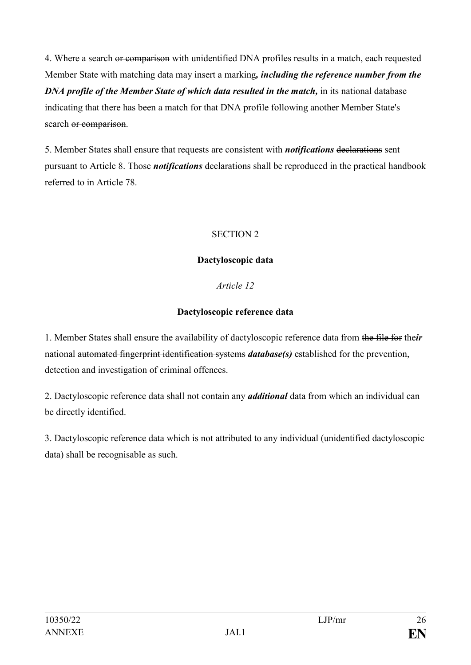4. Where a search or comparison with unidentified DNA profiles results in a match, each requested Member State with matching data may insert a marking*, including the reference number from the DNA profile of the Member State of which data resulted in the match,* in its national database indicating that there has been a match for that DNA profile following another Member State's search or comparison.

5. Member States shall ensure that requests are consistent with *notifications* declarations sent pursuant to Article 8. Those *notifications* declarations shall be reproduced in the practical handbook referred to in Article 78.

### SECTION 2

### **Dactyloscopic data**

# *Article 12*

# **Dactyloscopic reference data**

1. Member States shall ensure the availability of dactyloscopic reference data from the file for the*ir* national automated fingerprint identification systems *database(s)* established for the prevention, detection and investigation of criminal offences.

2. Dactyloscopic reference data shall not contain any *additional* data from which an individual can be directly identified.

3. Dactyloscopic reference data which is not attributed to any individual (unidentified dactyloscopic data) shall be recognisable as such.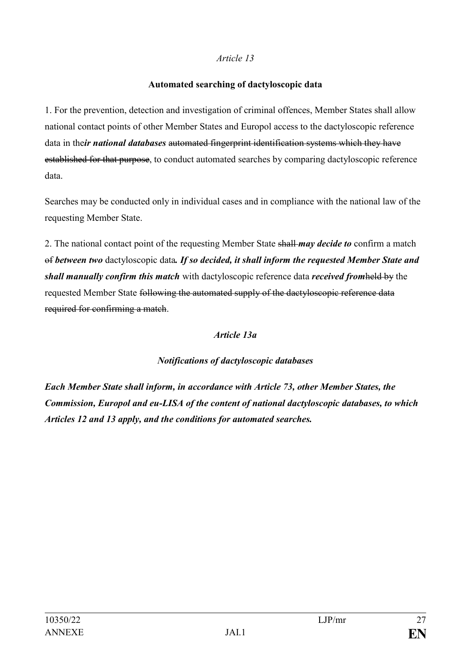### **Automated searching of dactyloscopic data**

1. For the prevention, detection and investigation of criminal offences, Member States shall allow national contact points of other Member States and Europol access to the dactyloscopic reference data in the*ir national databases* automated fingerprint identification systems which they have established for that purpose, to conduct automated searches by comparing dactyloscopic reference data.

Searches may be conducted only in individual cases and in compliance with the national law of the requesting Member State.

2. The national contact point of the requesting Member State shall *may decide to* confirm a match of *between two* dactyloscopic data*. If so decided, it shall inform the requested Member State and shall manually confirm this match* with dactyloscopic reference data *received from*held by the requested Member State following the automated supply of the dactyloscopic reference data required for confirming a match.

# *Article 13a*

# *Notifications of dactyloscopic databases*

*Each Member State shall inform, in accordance with Article 73, other Member States, the Commission, Europol and eu-LISA of the content of national dactyloscopic databases, to which Articles 12 and 13 apply, and the conditions for automated searches.*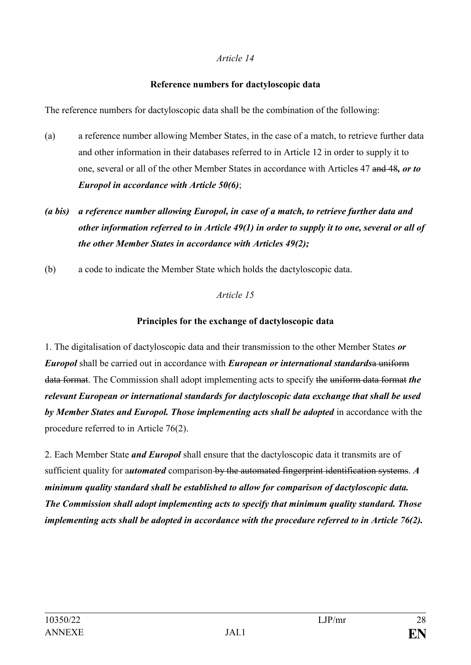### **Reference numbers for dactyloscopic data**

The reference numbers for dactyloscopic data shall be the combination of the following:

- (a) a reference number allowing Member States, in the case of a match, to retrieve further data and other information in their databases referred to in Article 12 in order to supply it to one, several or all of the other Member States in accordance with Articles 47 and 48*, or to Europol in accordance with Article 50(6)*;
- *(a bis) a reference number allowing Europol, in case of a match, to retrieve further data and other information referred to in Article 49(1) in order to supply it to one, several or all of the other Member States in accordance with Articles 49(2);*
- (b) a code to indicate the Member State which holds the dactyloscopic data.

# *Article 15*

# **Principles for the exchange of dactyloscopic data**

1. The digitalisation of dactyloscopic data and their transmission to the other Member States *or Europol* shall be carried out in accordance with *European or international standards*a uniform data format. The Commission shall adopt implementing acts to specify the uniform data format *the relevant European or international standards for dactyloscopic data exchange that shall be used by Member States and Europol. Those implementing acts shall be adopted* in accordance with the procedure referred to in Article 76(2).

2. Each Member State *and Europol* shall ensure that the dactyloscopic data it transmits are of sufficient quality for a*utomated* comparison by the automated fingerprint identification systems. *A minimum quality standard shall be established to allow for comparison of dactyloscopic data. The Commission shall adopt implementing acts to specify that minimum quality standard. Those implementing acts shall be adopted in accordance with the procedure referred to in Article 76(2).*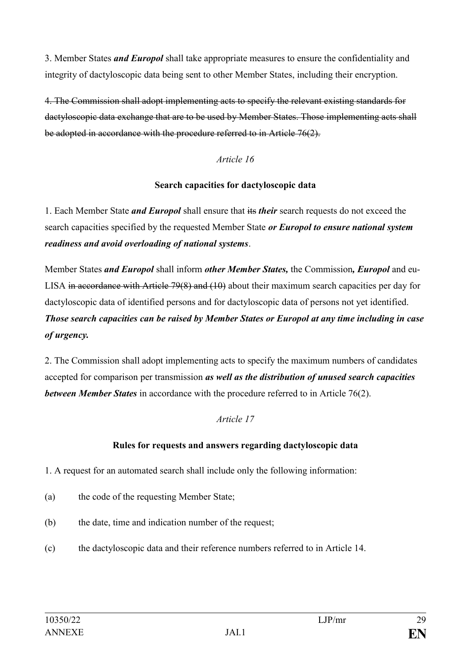3. Member States *and Europol* shall take appropriate measures to ensure the confidentiality and integrity of dactyloscopic data being sent to other Member States, including their encryption.

4. The Commission shall adopt implementing acts to specify the relevant existing standards for dactyloscopic data exchange that are to be used by Member States. Those implementing acts shall be adopted in accordance with the procedure referred to in Article 76(2).

### *Article 16*

### **Search capacities for dactyloscopic data**

1. Each Member State *and Europol* shall ensure that its *their* search requests do not exceed the search capacities specified by the requested Member State *or Europol to ensure national system readiness and avoid overloading of national systems*.

Member States *and Europol* shall inform *other Member States,* the Commission*, Europol* and eu-LISA in accordance with Article 79(8) and (10) about their maximum search capacities per day for dactyloscopic data of identified persons and for dactyloscopic data of persons not yet identified. *Those search capacities can be raised by Member States or Europol at any time including in case of urgency.*

2. The Commission shall adopt implementing acts to specify the maximum numbers of candidates accepted for comparison per transmission *as well as the distribution of unused search capacities between Member States* in accordance with the procedure referred to in Article 76(2).

# *Article 17*

# **Rules for requests and answers regarding dactyloscopic data**

1. A request for an automated search shall include only the following information:

- (a) the code of the requesting Member State;
- (b) the date, time and indication number of the request;
- (c) the dactyloscopic data and their reference numbers referred to in Article 14.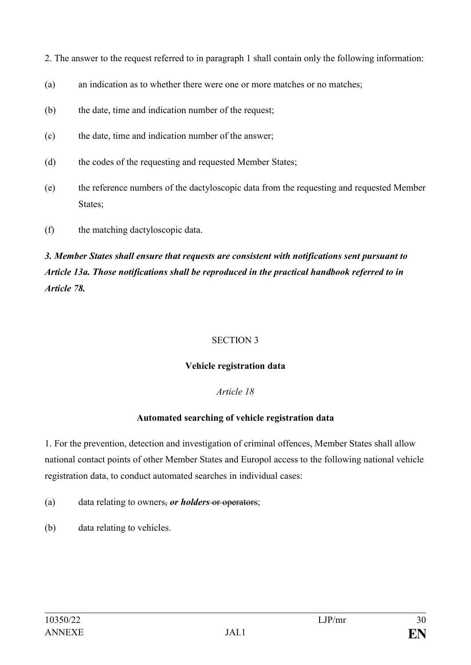2. The answer to the request referred to in paragraph 1 shall contain only the following information:

- (a) an indication as to whether there were one or more matches or no matches;
- (b) the date, time and indication number of the request;
- (c) the date, time and indication number of the answer;
- (d) the codes of the requesting and requested Member States;
- (e) the reference numbers of the dactyloscopic data from the requesting and requested Member States:
- (f) the matching dactyloscopic data.

# *3. Member States shall ensure that requests are consistent with notifications sent pursuant to Article 13a. Those notifications shall be reproduced in the practical handbook referred to in Article 78.*

# SECTION 3

# **Vehicle registration data**

# *Article 18*

# **Automated searching of vehicle registration data**

1. For the prevention, detection and investigation of criminal offences, Member States shall allow national contact points of other Member States and Europol access to the following national vehicle registration data, to conduct automated searches in individual cases:

- (a) data relating to owners, *or holders* or operators;
- (b) data relating to vehicles.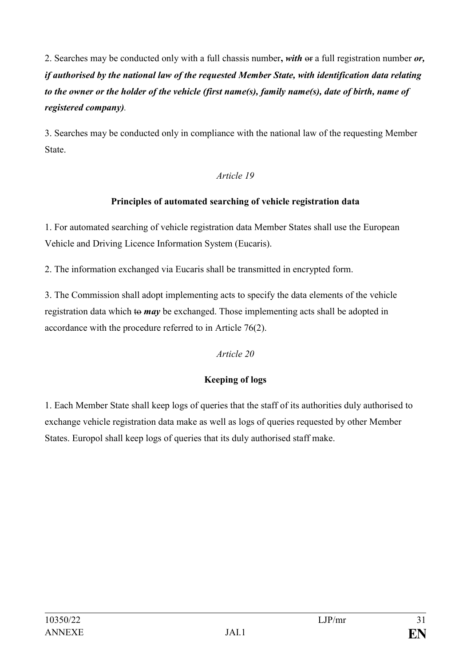2. Searches may be conducted only with a full chassis number**,** *with* or a full registration number *or, if authorised by the national law of the requested Member State, with identification data relating to the owner or the holder of the vehicle (first name(s), family name(s), date of birth, name of registered company).* 

3. Searches may be conducted only in compliance with the national law of the requesting Member State.

# *Article 19*

# **Principles of automated searching of vehicle registration data**

1. For automated searching of vehicle registration data Member States shall use the European Vehicle and Driving Licence Information System (Eucaris).

2. The information exchanged via Eucaris shall be transmitted in encrypted form.

3. The Commission shall adopt implementing acts to specify the data elements of the vehicle registration data which to *may* be exchanged. Those implementing acts shall be adopted in accordance with the procedure referred to in Article 76(2).

# *Article 20*

# **Keeping of logs**

1. Each Member State shall keep logs of queries that the staff of its authorities duly authorised to exchange vehicle registration data make as well as logs of queries requested by other Member States. Europol shall keep logs of queries that its duly authorised staff make.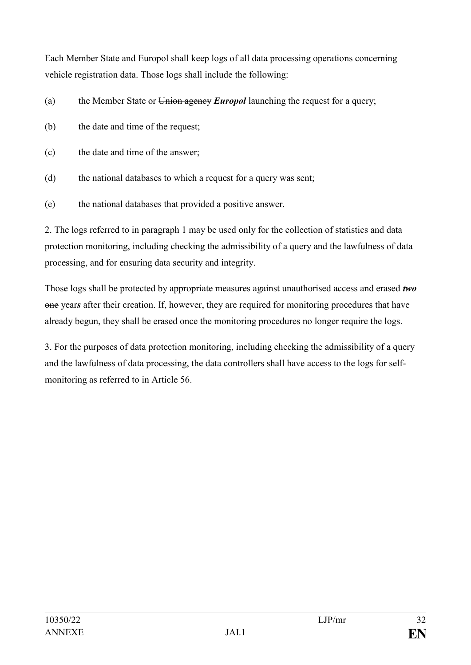Each Member State and Europol shall keep logs of all data processing operations concerning vehicle registration data. Those logs shall include the following:

(a) the Member State or Union agency *Europol* launching the request for a query;

- (b) the date and time of the request;
- (c) the date and time of the answer;
- (d) the national databases to which a request for a query was sent;
- (e) the national databases that provided a positive answer.

2. The logs referred to in paragraph 1 may be used only for the collection of statistics and data protection monitoring, including checking the admissibility of a query and the lawfulness of data processing, and for ensuring data security and integrity.

Those logs shall be protected by appropriate measures against unauthorised access and erased *two* one year*s* after their creation. If, however, they are required for monitoring procedures that have already begun, they shall be erased once the monitoring procedures no longer require the logs.

3. For the purposes of data protection monitoring, including checking the admissibility of a query and the lawfulness of data processing, the data controllers shall have access to the logs for selfmonitoring as referred to in Article 56.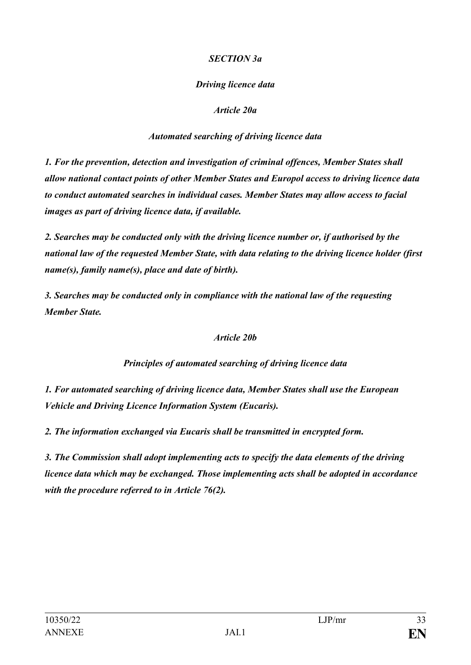### *SECTION 3a*

# *Driving licence data*

### *Article 20a*

### *Automated searching of driving licence data*

*1. For the prevention, detection and investigation of criminal offences, Member States shall allow national contact points of other Member States and Europol access to driving licence data to conduct automated searches in individual cases. Member States may allow access to facial images as part of driving licence data, if available.*

*2. Searches may be conducted only with the driving licence number or, if authorised by the national law of the requested Member State, with data relating to the driving licence holder (first name(s), family name(s), place and date of birth).*

*3. Searches may be conducted only in compliance with the national law of the requesting Member State.*

### *Article 20b*

*Principles of automated searching of driving licence data*

*1. For automated searching of driving licence data, Member States shall use the European Vehicle and Driving Licence Information System (Eucaris).*

*2. The information exchanged via Eucaris shall be transmitted in encrypted form.*

*3. The Commission shall adopt implementing acts to specify the data elements of the driving licence data which may be exchanged. Those implementing acts shall be adopted in accordance with the procedure referred to in Article 76(2).*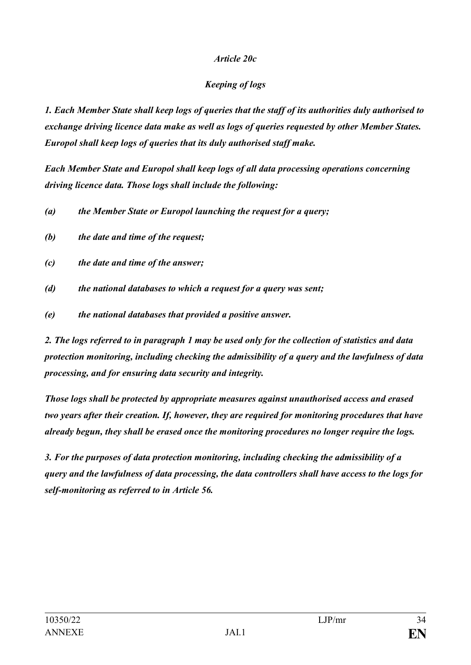### *Article 20c*

# *Keeping of logs*

*1. Each Member State shall keep logs of queries that the staff of its authorities duly authorised to exchange driving licence data make as well as logs of queries requested by other Member States. Europol shall keep logs of queries that its duly authorised staff make.*

*Each Member State and Europol shall keep logs of all data processing operations concerning driving licence data. Those logs shall include the following:* 

*(a) the Member State or Europol launching the request for a query;* 

*(b) the date and time of the request;*

*(c) the date and time of the answer;*

- *(d) the national databases to which a request for a query was sent;*
- *(e) the national databases that provided a positive answer.*

*2. The logs referred to in paragraph 1 may be used only for the collection of statistics and data protection monitoring, including checking the admissibility of a query and the lawfulness of data processing, and for ensuring data security and integrity.* 

*Those logs shall be protected by appropriate measures against unauthorised access and erased two years after their creation. If, however, they are required for monitoring procedures that have already begun, they shall be erased once the monitoring procedures no longer require the logs.*

*3. For the purposes of data protection monitoring, including checking the admissibility of a query and the lawfulness of data processing, the data controllers shall have access to the logs for self-monitoring as referred to in Article 56.*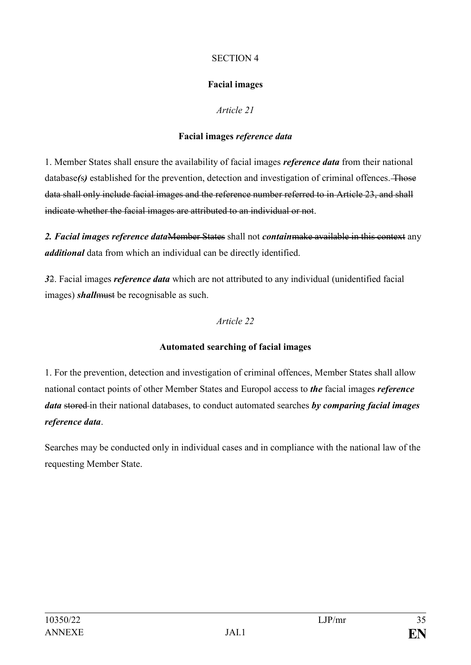### SECTION 4

# **Facial images**

# *Article 21*

# **Facial images** *reference data*

1. Member States shall ensure the availability of facial images *reference data* from their national database(s) established for the prevention, detection and investigation of criminal offences. Those data shall only include facial images and the reference number referred to in Article 23, and shall indicate whether the facial images are attributed to an individual or not.

*2. Facial images reference data*Member States shall not *contain*make available in this context any *additional* data from which an individual can be directly identified.

*3*2. Facial images *reference data* which are not attributed to any individual (unidentified facial images) *shall*must be recognisable as such.

# *Article 22*

# **Automated searching of facial images**

1. For the prevention, detection and investigation of criminal offences, Member States shall allow national contact points of other Member States and Europol access to *the* facial images *reference data* stored in their national databases, to conduct automated searches *by comparing facial images reference data*.

Searches may be conducted only in individual cases and in compliance with the national law of the requesting Member State.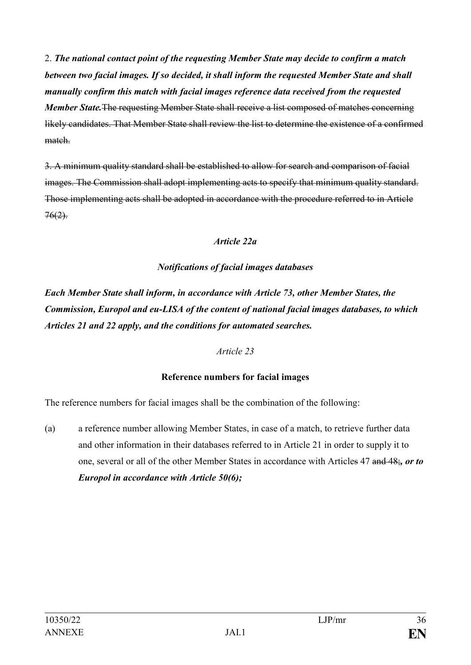2. *The national contact point of the requesting Member State may decide to confirm a match between two facial images. If so decided, it shall inform the requested Member State and shall manually confirm this match with facial images reference data received from the requested Member State.*The requesting Member State shall receive a list composed of matches concerning likely candidates. That Member State shall review the list to determine the existence of a confirmed match.

3. A minimum quality standard shall be established to allow for search and comparison of facial images. The Commission shall adopt implementing acts to specify that minimum quality standard. Those implementing acts shall be adopted in accordance with the procedure referred to in Article  $76(2)$ .

### *Article 22a*

### *Notifications of facial images databases*

*Each Member State shall inform, in accordance with Article 73, other Member States, the Commission, Europol and eu-LISA of the content of national facial images databases, to which Articles 21 and 22 apply, and the conditions for automated searches.*

### *Article 23*

# **Reference numbers for facial images**

The reference numbers for facial images shall be the combination of the following:

(a) a reference number allowing Member States, in case of a match, to retrieve further data and other information in their databases referred to in Article 21 in order to supply it to one, several or all of the other Member States in accordance with Articles 47 and 48;*, or to Europol in accordance with Article 50(6);*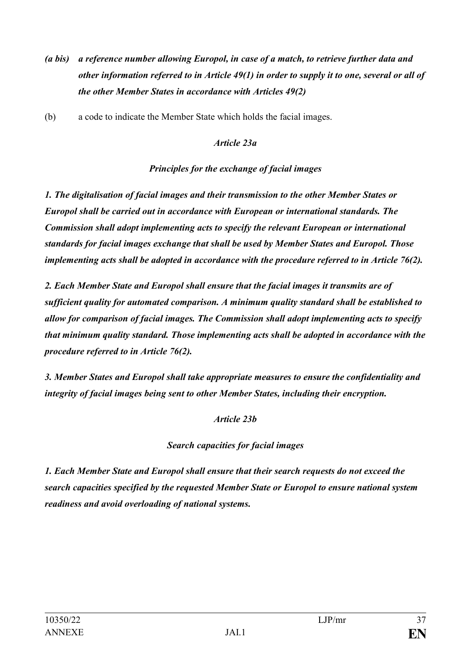- *(a bis) a reference number allowing Europol, in case of a match, to retrieve further data and other information referred to in Article 49(1) in order to supply it to one, several or all of the other Member States in accordance with Articles 49(2)*
- (b) a code to indicate the Member State which holds the facial images.

### *Article 23a*

#### *Principles for the exchange of facial images*

*1. The digitalisation of facial images and their transmission to the other Member States or Europol shall be carried out in accordance with European or international standards. The Commission shall adopt implementing acts to specify the relevant European or international standards for facial images exchange that shall be used by Member States and Europol. Those implementing acts shall be adopted in accordance with the procedure referred to in Article 76(2).*

*2. Each Member State and Europol shall ensure that the facial images it transmits are of sufficient quality for automated comparison. A minimum quality standard shall be established to allow for comparison of facial images. The Commission shall adopt implementing acts to specify that minimum quality standard. Those implementing acts shall be adopted in accordance with the procedure referred to in Article 76(2).*

*3. Member States and Europol shall take appropriate measures to ensure the confidentiality and integrity of facial images being sent to other Member States, including their encryption.*

#### *Article 23b*

# *Search capacities for facial images*

*1. Each Member State and Europol shall ensure that their search requests do not exceed the search capacities specified by the requested Member State or Europol to ensure national system readiness and avoid overloading of national systems.*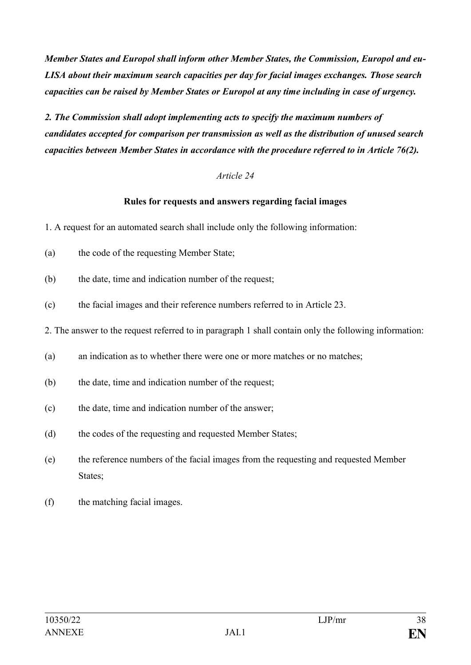*Member States and Europol shall inform other Member States, the Commission, Europol and eu-LISA about their maximum search capacities per day for facial images exchanges. Those search capacities can be raised by Member States or Europol at any time including in case of urgency.*

*2. The Commission shall adopt implementing acts to specify the maximum numbers of candidates accepted for comparison per transmission as well as the distribution of unused search capacities between Member States in accordance with the procedure referred to in Article 76(2).*

#### *Article 24*

#### **Rules for requests and answers regarding facial images**

1. A request for an automated search shall include only the following information:

- (a) the code of the requesting Member State;
- (b) the date, time and indication number of the request;
- (c) the facial images and their reference numbers referred to in Article 23.

2. The answer to the request referred to in paragraph 1 shall contain only the following information:

- (a) an indication as to whether there were one or more matches or no matches;
- (b) the date, time and indication number of the request;
- (c) the date, time and indication number of the answer;
- (d) the codes of the requesting and requested Member States;
- (e) the reference numbers of the facial images from the requesting and requested Member States;
- (f) the matching facial images.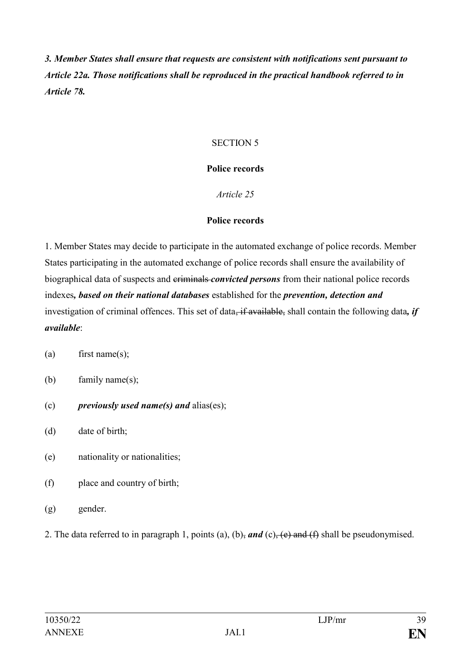*3. Member States shall ensure that requests are consistent with notifications sent pursuant to Article 22a. Those notifications shall be reproduced in the practical handbook referred to in Article 78.*

### SECTION 5

#### **Police records**

#### *Article 25*

#### **Police records**

1. Member States may decide to participate in the automated exchange of police records. Member States participating in the automated exchange of police records shall ensure the availability of biographical data of suspects and criminals *convicted persons* from their national police records indexes*, based on their national databases* established for the *prevention, detection and*  investigation of criminal offences. This set of data, if available, shall contain the following data, if *available*:

- (a) first name(s);
- (b) family name(s);
- (c) *previously used name(s) and* alias(es);
- (d) date of birth;
- (e) nationality or nationalities;
- (f) place and country of birth;
- (g) gender.
- 2. The data referred to in paragraph 1, points (a), (b), and (c), (e) and (f) shall be pseudonymised.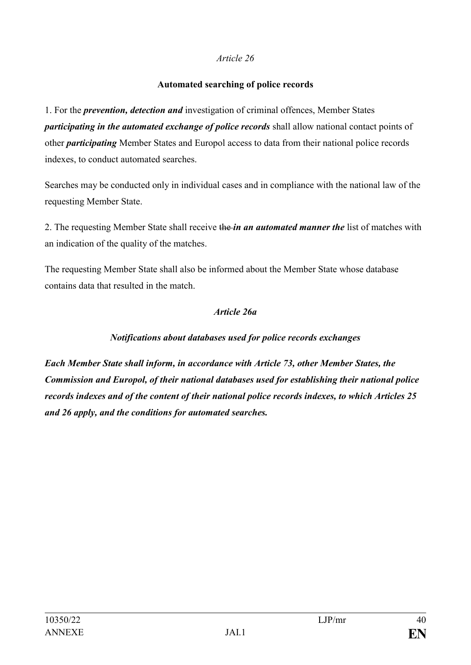#### **Automated searching of police records**

1. For the *prevention, detection and* investigation of criminal offences, Member States *participating in the automated exchange of police records* shall allow national contact points of other *participating* Member States and Europol access to data from their national police records indexes, to conduct automated searches.

Searches may be conducted only in individual cases and in compliance with the national law of the requesting Member State.

2. The requesting Member State shall receive the *in an automated manner the* list of matches with an indication of the quality of the matches.

The requesting Member State shall also be informed about the Member State whose database contains data that resulted in the match.

#### *Article 26a*

# *Notifications about databases used for police records exchanges*

*Each Member State shall inform, in accordance with Article 73, other Member States, the Commission and Europol, of their national databases used for establishing their national police records indexes and of the content of their national police records indexes, to which Articles 25 and 26 apply, and the conditions for automated searches.*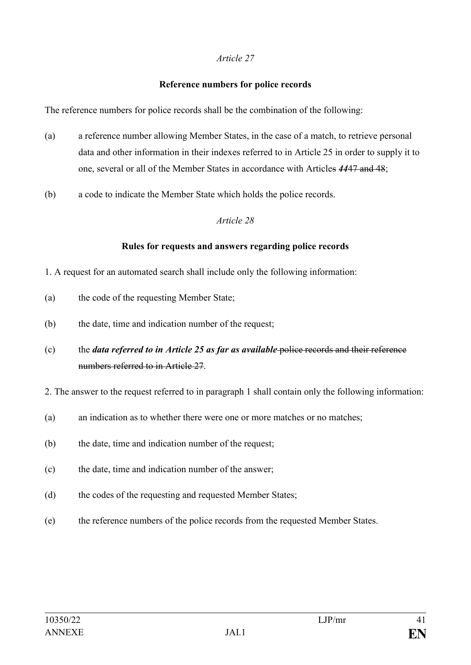#### **Reference numbers for police records**

The reference numbers for police records shall be the combination of the following:

- (a) a reference number allowing Member States, in the case of a match, to retrieve personal data and other information in their indexes referred to in Article 25 in order to supply it to one, several or all of the Member States in accordance with Articles *44*47 and 48;
- (b) a code to indicate the Member State which holds the police records.

#### *Article 28*

# **Rules for requests and answers regarding police records**

- 1. A request for an automated search shall include only the following information:
- (a) the code of the requesting Member State;
- (b) the date, time and indication number of the request;
- (c) the *data referred to in Article 25 as far as available* police records and their reference numbers referred to in Article 27.
- 2. The answer to the request referred to in paragraph 1 shall contain only the following information:
- (a) an indication as to whether there were one or more matches or no matches:
- (b) the date, time and indication number of the request;
- (c) the date, time and indication number of the answer;
- (d) the codes of the requesting and requested Member States;
- (e) the reference numbers of the police records from the requested Member States.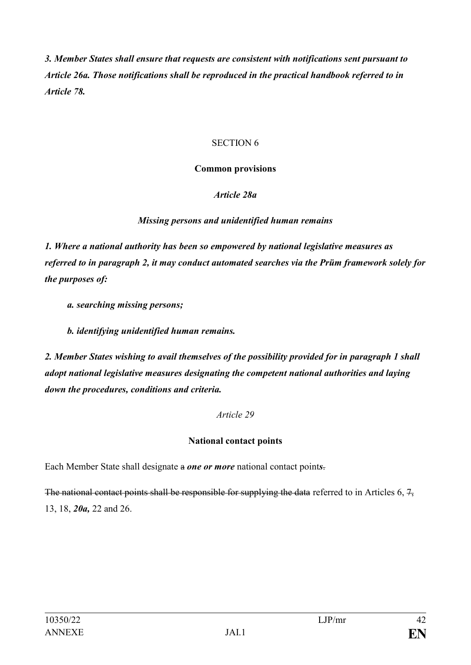*3. Member States shall ensure that requests are consistent with notifications sent pursuant to Article 26a. Those notifications shall be reproduced in the practical handbook referred to in Article 78.*

#### SECTION 6

#### **Common provisions**

# *Article 28a*

# *Missing persons and unidentified human remains*

*1. Where a national authority has been so empowered by national legislative measures as referred to in paragraph 2, it may conduct automated searches via the Prüm framework solely for the purposes of:*

- *a. searching missing persons;*
- *b. identifying unidentified human remains.*

*2. Member States wishing to avail themselves of the possibility provided for in paragraph 1 shall adopt national legislative measures designating the competent national authorities and laying down the procedures, conditions and criteria.*

# *Article 29*

# **National contact points**

Each Member State shall designate a *one or more* national contact point*s*.

The national contact points shall be responsible for supplying the data referred to in Articles 6,  $7$ , 13, 18, *20a,* 22 and 26.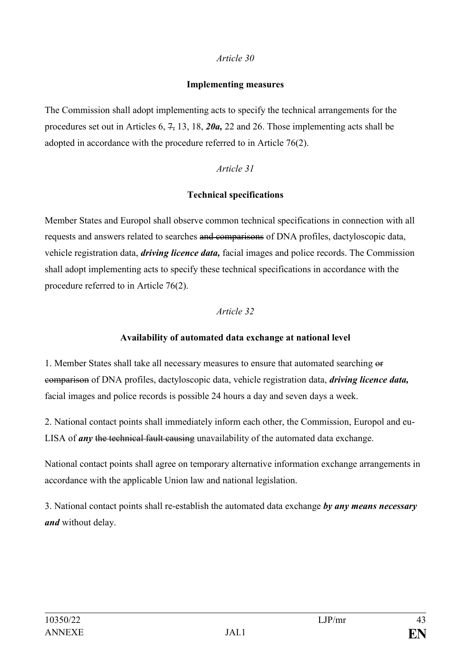#### **Implementing measures**

The Commission shall adopt implementing acts to specify the technical arrangements for the procedures set out in Articles 6, 7, 13, 18, *20a,* 22 and 26. Those implementing acts shall be adopted in accordance with the procedure referred to in Article 76(2).

# *Article 31*

# **Technical specifications**

Member States and Europol shall observe common technical specifications in connection with all requests and answers related to searches and comparisons of DNA profiles, dactyloscopic data, vehicle registration data, *driving licence data,* facial images and police records. The Commission shall adopt implementing acts to specify these technical specifications in accordance with the procedure referred to in Article 76(2).

# *Article 32*

# **Availability of automated data exchange at national level**

1. Member States shall take all necessary measures to ensure that automated searching or comparison of DNA profiles, dactyloscopic data, vehicle registration data, *driving licence data,*  facial images and police records is possible 24 hours a day and seven days a week.

2. National contact points shall immediately inform each other, the Commission, Europol and eu-LISA of *any* the technical fault causing unavailability of the automated data exchange.

National contact points shall agree on temporary alternative information exchange arrangements in accordance with the applicable Union law and national legislation.

3. National contact points shall re-establish the automated data exchange *by any means necessary and* without delay.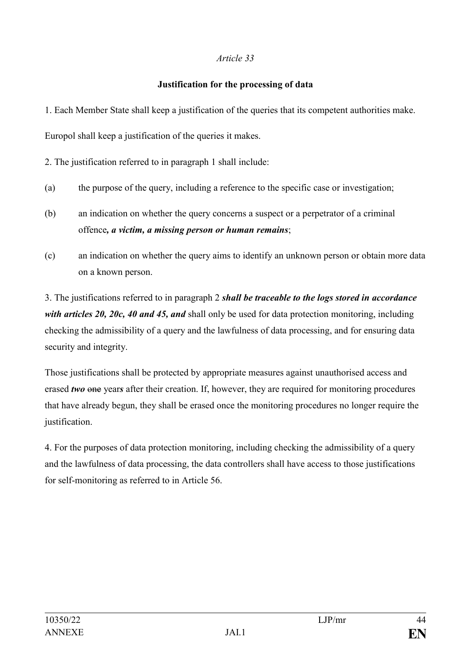### **Justification for the processing of data**

1. Each Member State shall keep a justification of the queries that its competent authorities make.

Europol shall keep a justification of the queries it makes.

2. The justification referred to in paragraph 1 shall include:

- (a) the purpose of the query, including a reference to the specific case or investigation;
- (b) an indication on whether the query concerns a suspect or a perpetrator of a criminal offence*, a victim, a missing person or human remains*;
- (c) an indication on whether the query aims to identify an unknown person or obtain more data on a known person.

3. The justifications referred to in paragraph 2 *shall be traceable to the logs stored in accordance with articles 20, 20c, 40 and 45, and* shall only be used for data protection monitoring, including checking the admissibility of a query and the lawfulness of data processing, and for ensuring data security and integrity.

Those justifications shall be protected by appropriate measures against unauthorised access and erased *two* one years after their creation. If, however, they are required for monitoring procedures that have already begun, they shall be erased once the monitoring procedures no longer require the justification.

4. For the purposes of data protection monitoring, including checking the admissibility of a query and the lawfulness of data processing, the data controllers shall have access to those justifications for self-monitoring as referred to in Article 56.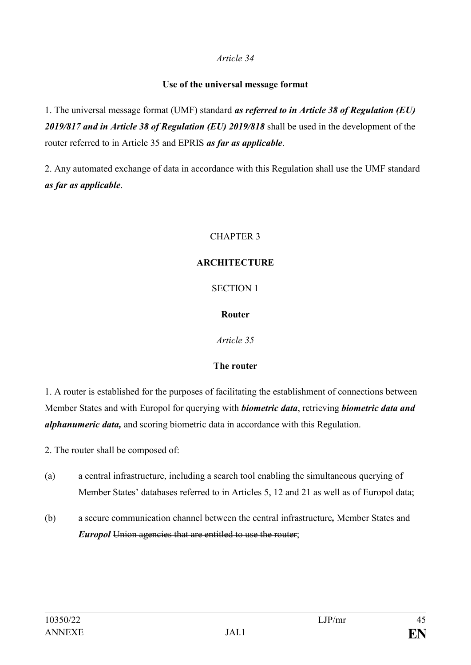#### **Use of the universal message format**

1. The universal message format (UMF) standard *as referred to in Article 38 of Regulation (EU) 2019/817 and in Article 38 of Regulation (EU) 2019/818* shall be used in the development of the router referred to in Article 35 and EPRIS *as far as applicable*.

2. Any automated exchange of data in accordance with this Regulation shall use the UMF standard *as far as applicable*.

# CHAPTER 3

# **ARCHITECTURE**

SECTION 1

# **Router**

*Article 35*

# **The router**

1. A router is established for the purposes of facilitating the establishment of connections between Member States and with Europol for querying with *biometric data*, retrieving *biometric data and alphanumeric data,* and scoring biometric data in accordance with this Regulation.

2. The router shall be composed of:

- (a) a central infrastructure, including a search tool enabling the simultaneous querying of Member States' databases referred to in Articles 5, 12 and 21 as well as of Europol data;
- (b) a secure communication channel between the central infrastructure*,* Member States and *Europol* Union agencies that are entitled to use the router;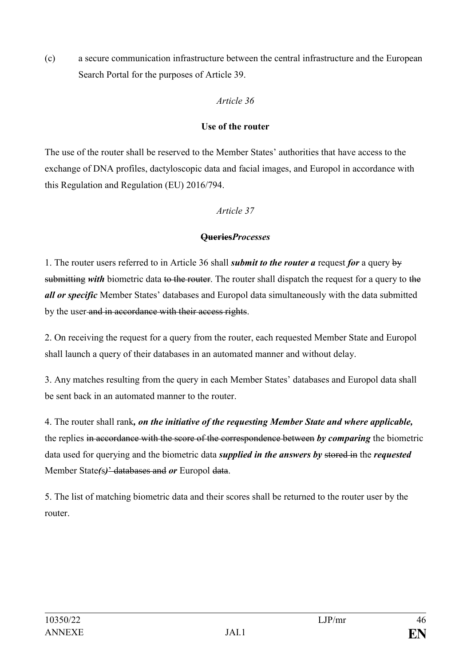(c) a secure communication infrastructure between the central infrastructure and the European Search Portal for the purposes of Article 39.

# *Article 36*

# **Use of the router**

The use of the router shall be reserved to the Member States' authorities that have access to the exchange of DNA profiles, dactyloscopic data and facial images, and Europol in accordance with this Regulation and Regulation (EU) 2016/794.

# *Article 37*

# **Queries***Processes*

1. The router users referred to in Article 36 shall *submit to the router a* request *for* a query by submitting *with* biometric data to the router. The router shall dispatch the request for a query to the *all or specific* Member States' databases and Europol data simultaneously with the data submitted by the user and in accordance with their access rights.

2. On receiving the request for a query from the router, each requested Member State and Europol shall launch a query of their databases in an automated manner and without delay.

3. Any matches resulting from the query in each Member States' databases and Europol data shall be sent back in an automated manner to the router.

4. The router shall rank*, on the initiative of the requesting Member State and where applicable,* the replies in accordance with the score of the correspondence between *by comparing* the biometric data used for querying and the biometric data *supplied in the answers by* stored in the *requested* Member State*(*s*)*' databases and *or* Europol data.

5. The list of matching biometric data and their scores shall be returned to the router user by the router.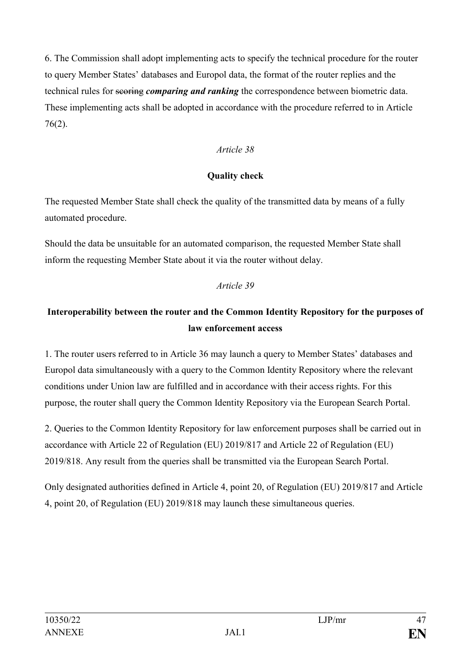6. The Commission shall adopt implementing acts to specify the technical procedure for the router to query Member States' databases and Europol data, the format of the router replies and the technical rules for scoring *comparing and ranking* the correspondence between biometric data. These implementing acts shall be adopted in accordance with the procedure referred to in Article 76(2).

### *Article 38*

#### **Quality check**

The requested Member State shall check the quality of the transmitted data by means of a fully automated procedure.

Should the data be unsuitable for an automated comparison, the requested Member State shall inform the requesting Member State about it via the router without delay.

#### *Article 39*

# **Interoperability between the router and the Common Identity Repository for the purposes of law enforcement access**

1. The router users referred to in Article 36 may launch a query to Member States' databases and Europol data simultaneously with a query to the Common Identity Repository where the relevant conditions under Union law are fulfilled and in accordance with their access rights. For this purpose, the router shall query the Common Identity Repository via the European Search Portal.

2. Queries to the Common Identity Repository for law enforcement purposes shall be carried out in accordance with Article 22 of Regulation (EU) 2019/817 and Article 22 of Regulation (EU) 2019/818. Any result from the queries shall be transmitted via the European Search Portal.

Only designated authorities defined in Article 4, point 20, of Regulation (EU) 2019/817 and Article 4, point 20, of Regulation (EU) 2019/818 may launch these simultaneous queries.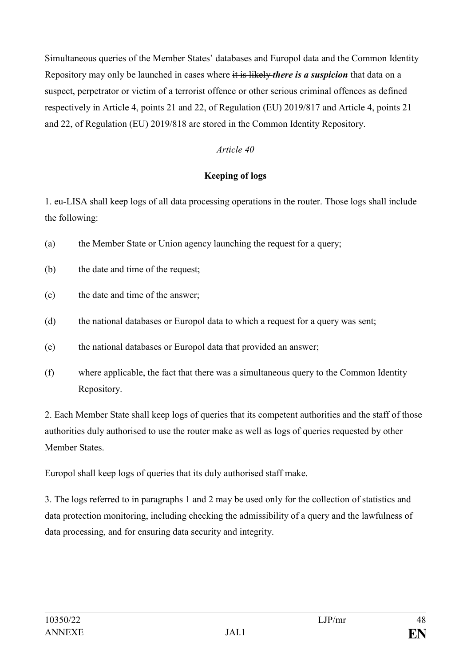Simultaneous queries of the Member States' databases and Europol data and the Common Identity Repository may only be launched in cases where it is likely *there is a suspicion* that data on a suspect, perpetrator or victim of a terrorist offence or other serious criminal offences as defined respectively in Article 4, points 21 and 22, of Regulation (EU) 2019/817 and Article 4, points 21 and 22, of Regulation (EU) 2019/818 are stored in the Common Identity Repository.

# *Article 40*

# **Keeping of logs**

1. eu-LISA shall keep logs of all data processing operations in the router. Those logs shall include the following:

- (a) the Member State or Union agency launching the request for a query;
- (b) the date and time of the request;
- (c) the date and time of the answer;
- (d) the national databases or Europol data to which a request for a query was sent;
- (e) the national databases or Europol data that provided an answer;
- (f) where applicable, the fact that there was a simultaneous query to the Common Identity Repository.

2. Each Member State shall keep logs of queries that its competent authorities and the staff of those authorities duly authorised to use the router make as well as logs of queries requested by other Member States.

Europol shall keep logs of queries that its duly authorised staff make.

3. The logs referred to in paragraphs 1 and 2 may be used only for the collection of statistics and data protection monitoring, including checking the admissibility of a query and the lawfulness of data processing, and for ensuring data security and integrity.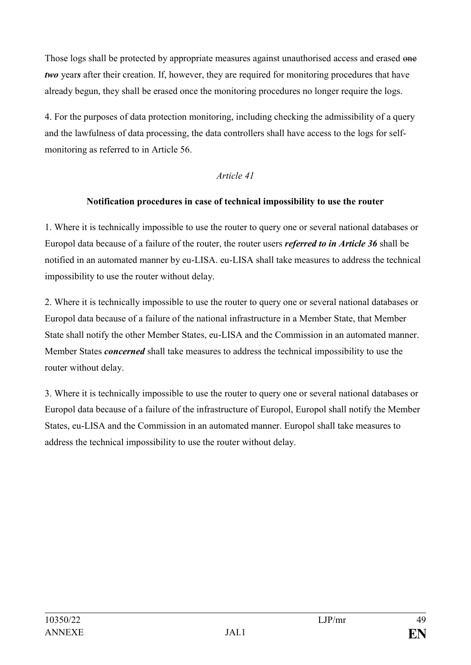Those logs shall be protected by appropriate measures against unauthorised access and erased one *two* years after their creation. If, however, they are required for monitoring procedures that have already begun, they shall be erased once the monitoring procedures no longer require the logs.

4. For the purposes of data protection monitoring, including checking the admissibility of a query and the lawfulness of data processing, the data controllers shall have access to the logs for selfmonitoring as referred to in Article 56.

#### *Article 41*

#### **Notification procedures in case of technical impossibility to use the router**

1. Where it is technically impossible to use the router to query one or several national databases or Europol data because of a failure of the router, the router users *referred to in Article 36* shall be notified in an automated manner by eu-LISA. eu-LISA shall take measures to address the technical impossibility to use the router without delay.

2. Where it is technically impossible to use the router to query one or several national databases or Europol data because of a failure of the national infrastructure in a Member State, that Member State shall notify the other Member States, eu-LISA and the Commission in an automated manner. Member States *concerned* shall take measures to address the technical impossibility to use the router without delay.

3. Where it is technically impossible to use the router to query one or several national databases or Europol data because of a failure of the infrastructure of Europol, Europol shall notify the Member States, eu-LISA and the Commission in an automated manner. Europol shall take measures to address the technical impossibility to use the router without delay.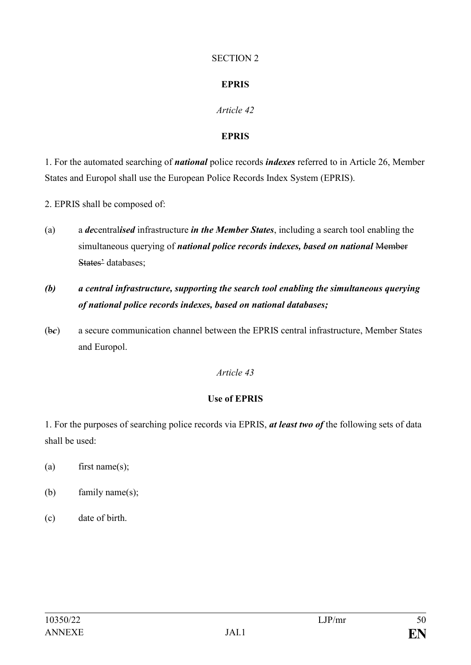#### SECTION 2

# **EPRIS**

# *Article 42*

# **EPRIS**

1. For the automated searching of *national* police records *indexes* referred to in Article 26, Member States and Europol shall use the European Police Records Index System (EPRIS).

2. EPRIS shall be composed of:

- (a) a *de*central*ised* infrastructure *in the Member States*, including a search tool enabling the simultaneous querying of *national police records indexes, based on national* Member States' databases;
- *(b) a central infrastructure, supporting the search tool enabling the simultaneous querying of national police records indexes, based on national databases;*
- (b*c*) a secure communication channel between the EPRIS central infrastructure, Member States and Europol.

# *Article 43*

# **Use of EPRIS**

1. For the purposes of searching police records via EPRIS, *at least two of* the following sets of data shall be used:

- (a) first name(s);
- (b) family name(s);
- (c) date of birth.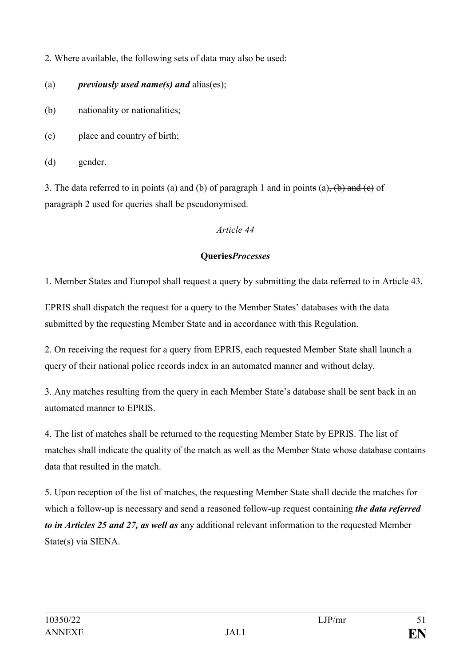2. Where available, the following sets of data may also be used:

- (a) *previously used name(s) and* alias(es);
- (b) nationality or nationalities;
- (c) place and country of birth;

(d) gender.

3. The data referred to in points (a) and (b) of paragraph 1 and in points (a), (b) and (e) of paragraph 2 used for queries shall be pseudonymised.

# *Article 44*

# **Queries***Processes*

1. Member States and Europol shall request a query by submitting the data referred to in Article 43.

EPRIS shall dispatch the request for a query to the Member States' databases with the data submitted by the requesting Member State and in accordance with this Regulation.

2. On receiving the request for a query from EPRIS, each requested Member State shall launch a query of their national police records index in an automated manner and without delay.

3. Any matches resulting from the query in each Member State's database shall be sent back in an automated manner to EPRIS.

4. The list of matches shall be returned to the requesting Member State by EPRIS. The list of matches shall indicate the quality of the match as well as the Member State whose database contains data that resulted in the match.

5. Upon reception of the list of matches, the requesting Member State shall decide the matches for which a follow-up is necessary and send a reasoned follow-up request containing *the data referred to in Articles 25 and 27, as well as* any additional relevant information to the requested Member State(s) via SIENA.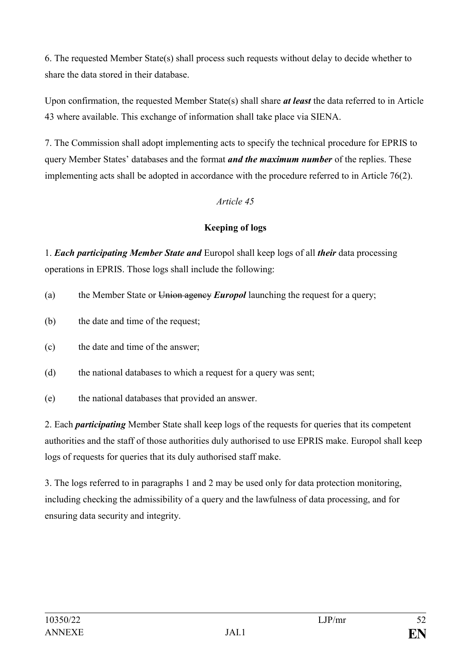6. The requested Member State(s) shall process such requests without delay to decide whether to share the data stored in their database.

Upon confirmation, the requested Member State(s) shall share *at least* the data referred to in Article 43 where available. This exchange of information shall take place via SIENA.

7. The Commission shall adopt implementing acts to specify the technical procedure for EPRIS to query Member States' databases and the format *and the maximum number* of the replies. These implementing acts shall be adopted in accordance with the procedure referred to in Article 76(2).

# *Article 45*

# **Keeping of logs**

1. *Each participating Member State and* Europol shall keep logs of all *their* data processing operations in EPRIS. Those logs shall include the following:

- (a) the Member State or Union agency *Europol* launching the request for a query;
- (b) the date and time of the request;
- (c) the date and time of the answer;
- (d) the national databases to which a request for a query was sent;
- (e) the national databases that provided an answer.

2. Each *participating* Member State shall keep logs of the requests for queries that its competent authorities and the staff of those authorities duly authorised to use EPRIS make. Europol shall keep logs of requests for queries that its duly authorised staff make.

3. The logs referred to in paragraphs 1 and 2 may be used only for data protection monitoring, including checking the admissibility of a query and the lawfulness of data processing, and for ensuring data security and integrity.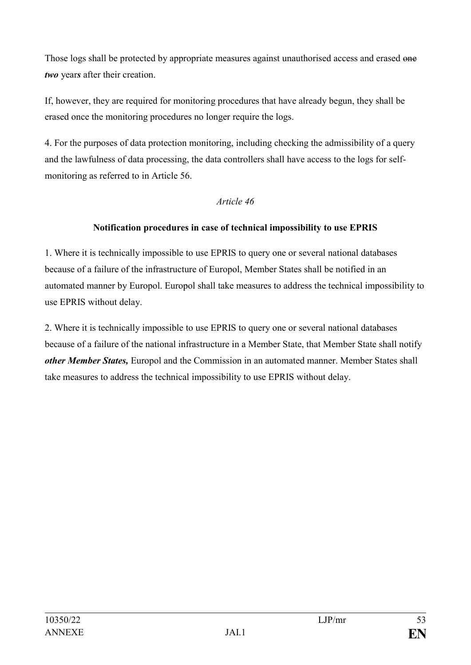Those logs shall be protected by appropriate measures against unauthorised access and erased one *two* year*s* after their creation.

If, however, they are required for monitoring procedures that have already begun, they shall be erased once the monitoring procedures no longer require the logs.

4. For the purposes of data protection monitoring, including checking the admissibility of a query and the lawfulness of data processing, the data controllers shall have access to the logs for selfmonitoring as referred to in Article 56.

#### *Article 46*

# **Notification procedures in case of technical impossibility to use EPRIS**

1. Where it is technically impossible to use EPRIS to query one or several national databases because of a failure of the infrastructure of Europol, Member States shall be notified in an automated manner by Europol. Europol shall take measures to address the technical impossibility to use EPRIS without delay.

2. Where it is technically impossible to use EPRIS to query one or several national databases because of a failure of the national infrastructure in a Member State, that Member State shall notify *other Member States,* Europol and the Commission in an automated manner. Member States shall take measures to address the technical impossibility to use EPRIS without delay.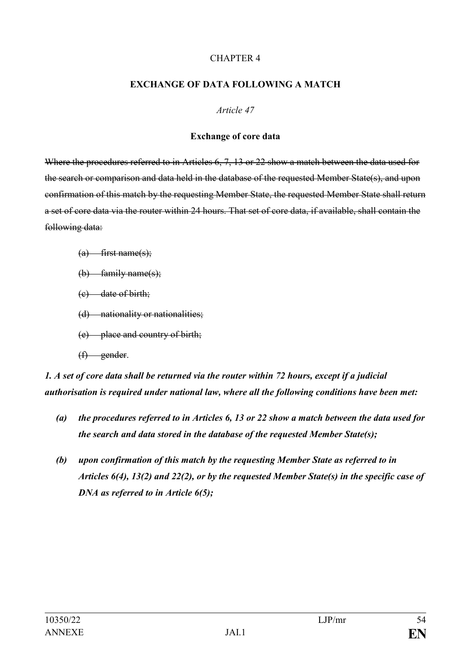#### CHAPTER 4

#### **EXCHANGE OF DATA FOLLOWING A MATCH**

*Article 47*

#### **Exchange of core data**

Where the procedures referred to in Articles 6, 7, 13 or 22 show a match between the data used for the search or comparison and data held in the database of the requested Member State(s), and upon confirmation of this match by the requesting Member State, the requested Member State shall return a set of core data via the router within 24 hours. That set of core data, if available, shall contain the following data:

- $(a)$  first name(s);
- $(b)$  family name(s);
- (c) date of birth;
- (d) nationality or nationalities;
- (e) place and country of birth;
- (f) gender.

*1. A set of core data shall be returned via the router within 72 hours, except if a judicial authorisation is required under national law, where all the following conditions have been met:*

- *(a) the procedures referred to in Articles 6, 13 or 22 show a match between the data used for the search and data stored in the database of the requested Member State(s);*
- *(b) upon confirmation of this match by the requesting Member State as referred to in Articles 6(4), 13(2) and 22(2), or by the requested Member State(s) in the specific case of DNA as referred to in Article 6(5);*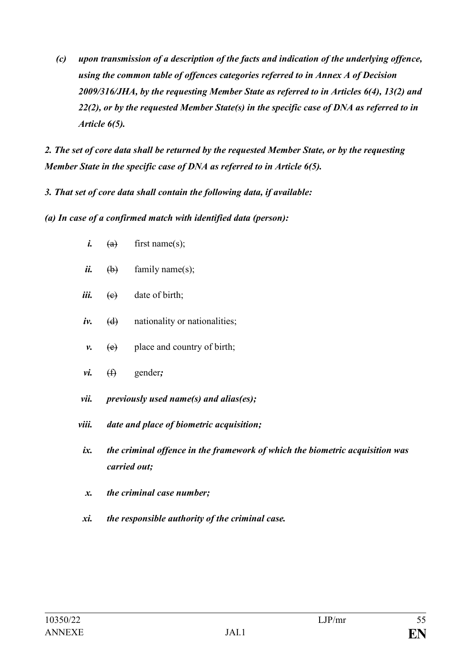*(c) upon transmission of a description of the facts and indication of the underlying offence, using the common table of offences categories referred to in Annex A of Decision 2009/316/JHA, by the requesting Member State as referred to in Articles 6(4), 13(2) and 22(2), or by the requested Member State(s) in the specific case of DNA as referred to in Article 6(5).*

*2. The set of core data shall be returned by the requested Member State, or by the requesting Member State in the specific case of DNA as referred to in Article 6(5).*

*3. That set of core data shall contain the following data, if available:*

*(a) In case of a confirmed match with identified data (person):*

- $i.$  (a) first name(s);
- $\ddot{\mathbf{i}}$ . (b) family name(s);
- *iii.* <del>(e)</del> date of birth;
- *iv.* (d) nationality or nationalities;
- *v.*  $(e)$  place and country of birth;
- *vi.* (f) gender*;*
- *vii. previously used name(s) and alias(es);*
- *viii. date and place of biometric acquisition;*
- *ix. the criminal offence in the framework of which the biometric acquisition was carried out;*
- *x. the criminal case number;*
- *xi. the responsible authority of the criminal case.*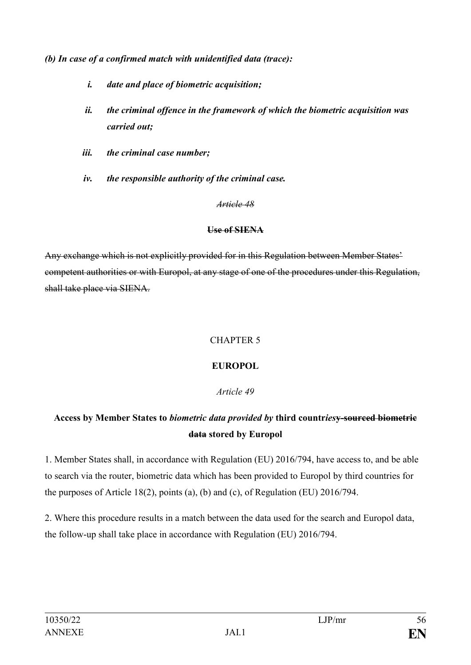*(b) In case of a confirmed match with unidentified data (trace):*

- *i. date and place of biometric acquisition;*
- *ii. the criminal offence in the framework of which the biometric acquisition was carried out;*
- *iii. the criminal case number;*
- *iv. the responsible authority of the criminal case.*

#### *Article 48*

#### **Use of SIENA**

Any exchange which is not explicitly provided for in this Regulation between Member States' competent authorities or with Europol, at any stage of one of the procedures under this Regulation, shall take place via SIENA.

# CHAPTER 5

# **EUROPOL**

# *Article 49*

# **Access by Member States to** *biometric data provided by* **third countr***ies***y-sourced biometric data stored by Europol**

1. Member States shall, in accordance with Regulation (EU) 2016/794, have access to, and be able to search via the router, biometric data which has been provided to Europol by third countries for the purposes of Article 18(2), points (a), (b) and (c), of Regulation (EU) 2016/794.

2. Where this procedure results in a match between the data used for the search and Europol data, the follow-up shall take place in accordance with Regulation (EU) 2016/794.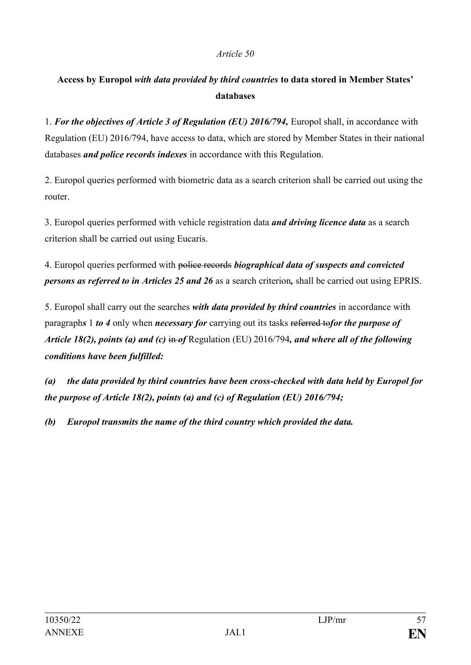# **Access by Europol** *with data provided by third countries* **to data stored in Member States' databases**

1. *For the objectives of Article 3 of Regulation (EU) 2016/794,* Europol shall, in accordance with Regulation (EU) 2016/794, have access to data, which are stored by Member States in their national databases *and police records indexes* in accordance with this Regulation.

2. Europol queries performed with biometric data as a search criterion shall be carried out using the router.

3. Europol queries performed with vehicle registration data *and driving licence data* as a search criterion shall be carried out using Eucaris.

4. Europol queries performed with police records *biographical data of suspects and convicted persons as referred to in Articles 25 and 26* as a search criterion*,* shall be carried out using EPRIS.

5. Europol shall carry out the searches *with data provided by third countries* in accordance with paragraph*s* 1 *to 4* only when *necessary for* carrying out its tasks referred to*for the purpose of Article 18(2), points (a) and (c)* in *of* Regulation (EU) 2016/794, and where all of the following *conditions have been fulfilled:*

*(a) the data provided by third countries have been cross-checked with data held by Europol for the purpose of Article 18(2), points (a) and (c) of Regulation (EU) 2016/794;*

*(b) Europol transmits the name of the third country which provided the data.*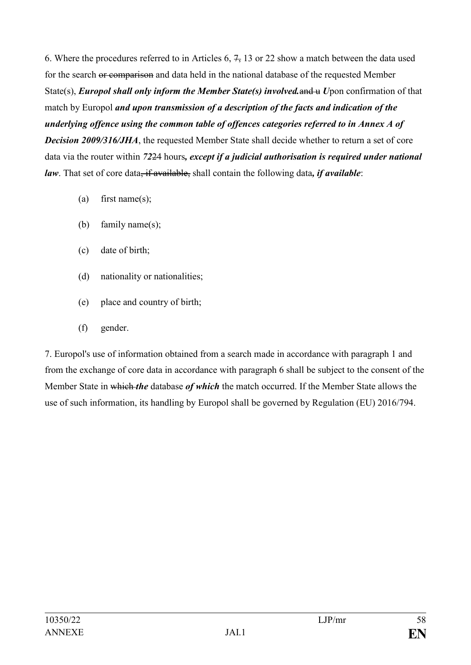6. Where the procedures referred to in Articles  $6, 7, 13$  or 22 show a match between the data used for the search or comparison and data held in the national database of the requested Member State(s), *Europol shall only inform the Member State(s) involved.*and u *U*pon confirmation of that match by Europol *and upon transmission of a description of the facts and indication of the underlying offence using the common table of offences categories referred to in Annex A of Decision 2009/316/JHA*, the requested Member State shall decide whether to return a set of core data via the router within *72*24 hours*, except if a judicial authorisation is required under national law*. That set of core data<del>, if available,</del> shall contain the following data, *if available*:

- (a) first name(s);
- (b) family name(s);
- (c) date of birth;
- (d) nationality or nationalities;
- (e) place and country of birth;
- (f) gender.

7. Europol's use of information obtained from a search made in accordance with paragraph 1 and from the exchange of core data in accordance with paragraph 6 shall be subject to the consent of the Member State in which *the* database *of which* the match occurred. If the Member State allows the use of such information, its handling by Europol shall be governed by Regulation (EU) 2016/794.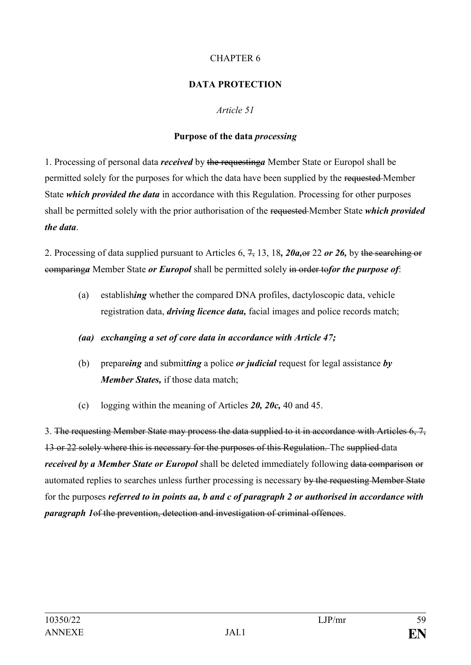### CHAPTER 6

### **DATA PROTECTION**

#### *Article 51*

#### **Purpose of the data** *processing*

1. Processing of personal data *received* by the requesting*a* Member State or Europol shall be permitted solely for the purposes for which the data have been supplied by the requested Member State *which provided the data* in accordance with this Regulation. Processing for other purposes shall be permitted solely with the prior authorisation of the requested Member State *which provided the data*.

2. Processing of data supplied pursuant to Articles 6, 7, 13, 18*, 20a,*or 22 *or 26,* by the searching or comparing*a* Member State *or Europol* shall be permitted solely in order to*for the purpose of*:

(a) establish*ing* whether the compared DNA profiles, dactyloscopic data, vehicle registration data, *driving licence data,* facial images and police records match;

### *(aa) exchanging a set of core data in accordance with Article 47;*

- (b) prepare*ing* and submit*ting* a police *or judicial* request for legal assistance *by Member States,* if those data match;
- (c) logging within the meaning of Articles *20, 20c,* 40 and 45.

3. The requesting Member State may process the data supplied to it in accordance with Articles 6, 7, 13 or 22 solely where this is necessary for the purposes of this Regulation. The supplied data *received by a Member State or Europol* shall be deleted immediately following data comparison or automated replies to searches unless further processing is necessary by the requesting Member State for the purposes *referred to in points aa, b and c of paragraph 2 or authorised in accordance with paragraph 1*of the prevention, detection and investigation of criminal offences.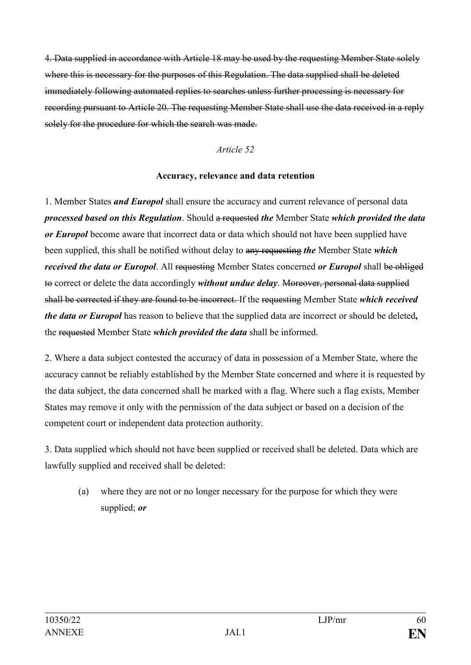4. Data supplied in accordance with Article 18 may be used by the requesting Member State solely where this is necessary for the purposes of this Regulation. The data supplied shall be deleted immediately following automated replies to searches unless further processing is necessary for recording pursuant to Article 20. The requesting Member State shall use the data received in a reply solely for the procedure for which the search was made.

#### *Article 52*

#### **Accuracy, relevance and data retention**

1. Member States *and Europol* shall ensure the accuracy and current relevance of personal data *processed based on this Regulation*. Should a requested *the* Member State *which provided the data or Europol* become aware that incorrect data or data which should not have been supplied have been supplied, this shall be notified without delay to any requesting *the* Member State *which received the data or Europol*. All requesting Member States concerned *or Europol* shall be obliged to correct or delete the data accordingly *without undue delay*. Moreover, personal data supplied shall be corrected if they are found to be incorrect. If the requesting Member State *which received the data or Europol* has reason to believe that the supplied data are incorrect or should be deleted*,* the requested Member State *which provided the data* shall be informed.

2. Where a data subject contested the accuracy of data in possession of a Member State, where the accuracy cannot be reliably established by the Member State concerned and where it is requested by the data subject, the data concerned shall be marked with a flag. Where such a flag exists, Member States may remove it only with the permission of the data subject or based on a decision of the competent court or independent data protection authority.

3. Data supplied which should not have been supplied or received shall be deleted. Data which are lawfully supplied and received shall be deleted:

(a) where they are not or no longer necessary for the purpose for which they were supplied; *or*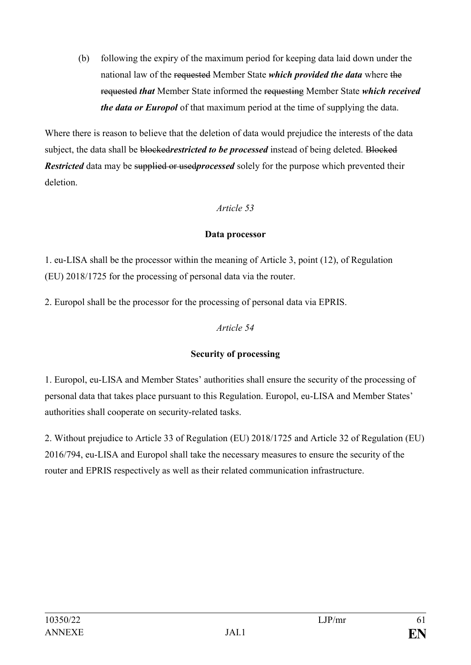(b) following the expiry of the maximum period for keeping data laid down under the national law of the requested Member State *which provided the data* where the requested *that* Member State informed the requesting Member State *which received the data or Europol* of that maximum period at the time of supplying the data.

Where there is reason to believe that the deletion of data would prejudice the interests of the data subject, the data shall be **blocked***restricted to be processed* instead of being deleted. Blocked *Restricted* data may be supplied or usedprocessed solely for the purpose which prevented their deletion.

# *Article 53*

#### **Data processor**

1. eu-LISA shall be the processor within the meaning of Article 3, point (12), of Regulation (EU) 2018/1725 for the processing of personal data via the router.

2. Europol shall be the processor for the processing of personal data via EPRIS.

# *Article 54*

# **Security of processing**

1. Europol, eu-LISA and Member States' authorities shall ensure the security of the processing of personal data that takes place pursuant to this Regulation. Europol, eu-LISA and Member States' authorities shall cooperate on security-related tasks.

2. Without prejudice to Article 33 of Regulation (EU) 2018/1725 and Article 32 of Regulation (EU) 2016/794, eu-LISA and Europol shall take the necessary measures to ensure the security of the router and EPRIS respectively as well as their related communication infrastructure.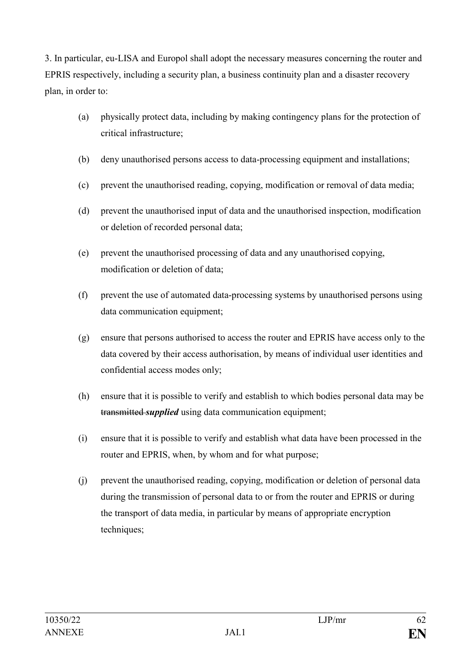3. In particular, eu-LISA and Europol shall adopt the necessary measures concerning the router and EPRIS respectively, including a security plan, a business continuity plan and a disaster recovery plan, in order to:

- (a) physically protect data, including by making contingency plans for the protection of critical infrastructure;
- (b) deny unauthorised persons access to data-processing equipment and installations;
- (c) prevent the unauthorised reading, copying, modification or removal of data media;
- (d) prevent the unauthorised input of data and the unauthorised inspection, modification or deletion of recorded personal data;
- (e) prevent the unauthorised processing of data and any unauthorised copying, modification or deletion of data;
- (f) prevent the use of automated data-processing systems by unauthorised persons using data communication equipment;
- (g) ensure that persons authorised to access the router and EPRIS have access only to the data covered by their access authorisation, by means of individual user identities and confidential access modes only;
- (h) ensure that it is possible to verify and establish to which bodies personal data may be transmitted *supplied* using data communication equipment;
- (i) ensure that it is possible to verify and establish what data have been processed in the router and EPRIS, when, by whom and for what purpose;
- (j) prevent the unauthorised reading, copying, modification or deletion of personal data during the transmission of personal data to or from the router and EPRIS or during the transport of data media, in particular by means of appropriate encryption techniques;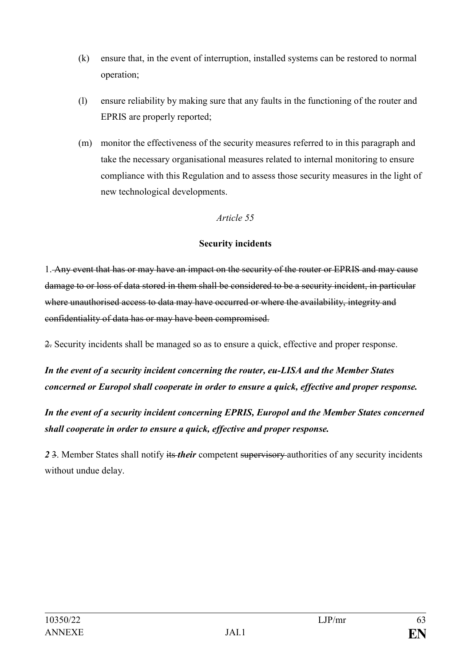- (k) ensure that, in the event of interruption, installed systems can be restored to normal operation;
- (l) ensure reliability by making sure that any faults in the functioning of the router and EPRIS are properly reported;
- (m) monitor the effectiveness of the security measures referred to in this paragraph and take the necessary organisational measures related to internal monitoring to ensure compliance with this Regulation and to assess those security measures in the light of new technological developments.

#### **Security incidents**

1. Any event that has or may have an impact on the security of the router or EPRIS and may cause damage to or loss of data stored in them shall be considered to be a security incident, in particular where unauthorised access to data may have occurred or where the availability, integrity and confidentiality of data has or may have been compromised.

2. Security incidents shall be managed so as to ensure a quick, effective and proper response.

*In the event of a security incident concerning the router, eu-LISA and the Member States concerned or Europol shall cooperate in order to ensure a quick, effective and proper response.*

*In the event of a security incident concerning EPRIS, Europol and the Member States concerned shall cooperate in order to ensure a quick, effective and proper response.*

*2* 3. Member States shall notify its *their* competent supervisory authorities of any security incidents without undue delay.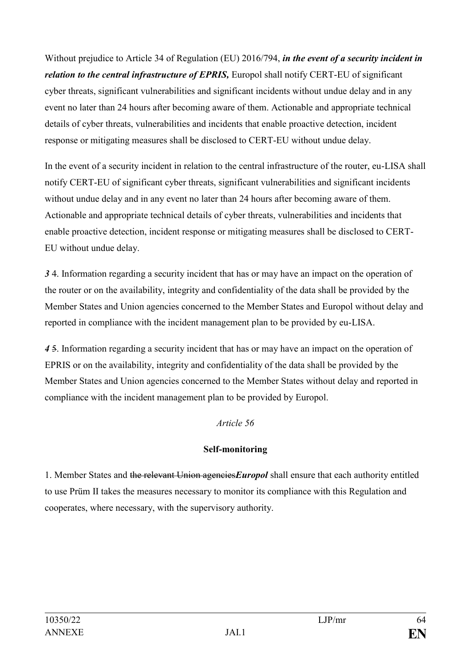Without prejudice to Article 34 of Regulation (EU) 2016/794, *in the event of a security incident in relation to the central infrastructure of EPRIS*, Europol shall notify CERT-EU of significant cyber threats, significant vulnerabilities and significant incidents without undue delay and in any event no later than 24 hours after becoming aware of them. Actionable and appropriate technical details of cyber threats, vulnerabilities and incidents that enable proactive detection, incident response or mitigating measures shall be disclosed to CERT-EU without undue delay.

In the event of a security incident in relation to the central infrastructure of the router, eu-LISA shall notify CERT-EU of significant cyber threats, significant vulnerabilities and significant incidents without undue delay and in any event no later than 24 hours after becoming aware of them. Actionable and appropriate technical details of cyber threats, vulnerabilities and incidents that enable proactive detection, incident response or mitigating measures shall be disclosed to CERT-EU without undue delay.

*3* 4. Information regarding a security incident that has or may have an impact on the operation of the router or on the availability, integrity and confidentiality of the data shall be provided by the Member States and Union agencies concerned to the Member States and Europol without delay and reported in compliance with the incident management plan to be provided by eu-LISA.

*4* 5. Information regarding a security incident that has or may have an impact on the operation of EPRIS or on the availability, integrity and confidentiality of the data shall be provided by the Member States and Union agencies concerned to the Member States without delay and reported in compliance with the incident management plan to be provided by Europol.

# *Article 56*

# **Self-monitoring**

1. Member States and the relevant Union agencies*Europol* shall ensure that each authority entitled to use Prüm II takes the measures necessary to monitor its compliance with this Regulation and cooperates, where necessary, with the supervisory authority.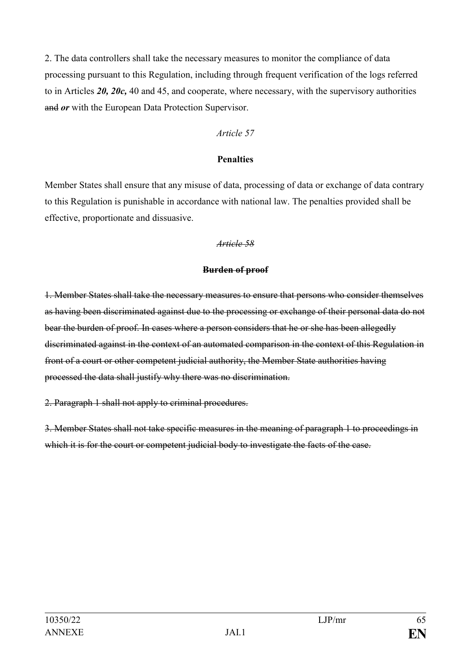2. The data controllers shall take the necessary measures to monitor the compliance of data processing pursuant to this Regulation, including through frequent verification of the logs referred to in Articles *20, 20c,* 40 and 45, and cooperate, where necessary, with the supervisory authorities and *or* with the European Data Protection Supervisor.

#### *Article 57*

#### **Penalties**

Member States shall ensure that any misuse of data, processing of data or exchange of data contrary to this Regulation is punishable in accordance with national law. The penalties provided shall be effective, proportionate and dissuasive.

#### *Article 58*

#### **Burden of proof**

1. Member States shall take the necessary measures to ensure that persons who consider themselves as having been discriminated against due to the processing or exchange of their personal data do not bear the burden of proof. In cases where a person considers that he or she has been allegedly discriminated against in the context of an automated comparison in the context of this Regulation in front of a court or other competent judicial authority, the Member State authorities having processed the data shall justify why there was no discrimination.

2. Paragraph 1 shall not apply to criminal procedures.

3. Member States shall not take specific measures in the meaning of paragraph 1 to proceedings in which it is for the court or competent judicial body to investigate the facts of the case.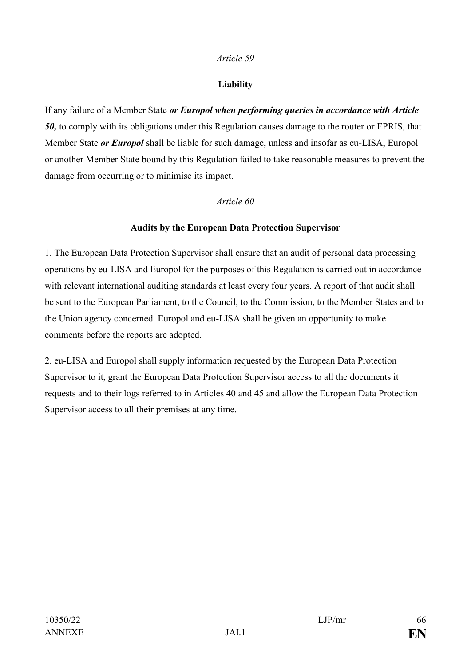#### **Liability**

If any failure of a Member State *or Europol when performing queries in accordance with Article 50,* to comply with its obligations under this Regulation causes damage to the router or EPRIS, that Member State *or Europol* shall be liable for such damage, unless and insofar as eu-LISA, Europol or another Member State bound by this Regulation failed to take reasonable measures to prevent the damage from occurring or to minimise its impact.

#### *Article 60*

#### **Audits by the European Data Protection Supervisor**

1. The European Data Protection Supervisor shall ensure that an audit of personal data processing operations by eu-LISA and Europol for the purposes of this Regulation is carried out in accordance with relevant international auditing standards at least every four years. A report of that audit shall be sent to the European Parliament, to the Council, to the Commission, to the Member States and to the Union agency concerned. Europol and eu-LISA shall be given an opportunity to make comments before the reports are adopted.

2. eu-LISA and Europol shall supply information requested by the European Data Protection Supervisor to it, grant the European Data Protection Supervisor access to all the documents it requests and to their logs referred to in Articles 40 and 45 and allow the European Data Protection Supervisor access to all their premises at any time.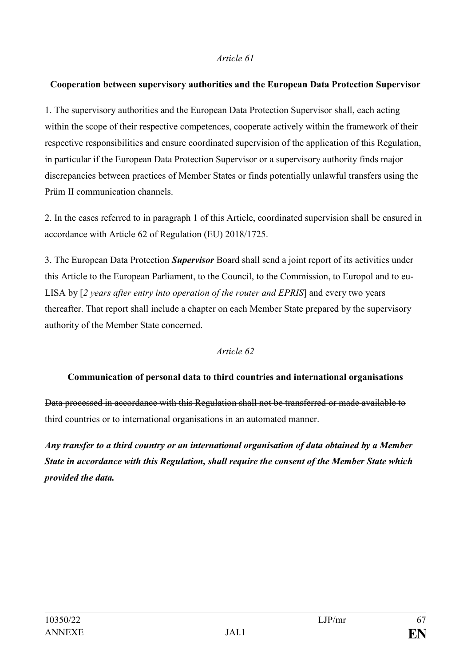#### **Cooperation between supervisory authorities and the European Data Protection Supervisor**

1. The supervisory authorities and the European Data Protection Supervisor shall, each acting within the scope of their respective competences, cooperate actively within the framework of their respective responsibilities and ensure coordinated supervision of the application of this Regulation, in particular if the European Data Protection Supervisor or a supervisory authority finds major discrepancies between practices of Member States or finds potentially unlawful transfers using the Prüm II communication channels.

2. In the cases referred to in paragraph 1 of this Article, coordinated supervision shall be ensured in accordance with Article 62 of Regulation (EU) 2018/1725.

3. The European Data Protection *Supervisor* Board shall send a joint report of its activities under this Article to the European Parliament, to the Council, to the Commission, to Europol and to eu-LISA by [*2 years after entry into operation of the router and EPRIS*] and every two years thereafter. That report shall include a chapter on each Member State prepared by the supervisory authority of the Member State concerned.

#### *Article 62*

#### **Communication of personal data to third countries and international organisations**

Data processed in accordance with this Regulation shall not be transferred or made available to third countries or to international organisations in an automated manner.

*Any transfer to a third country or an international organisation of data obtained by a Member State in accordance with this Regulation, shall require the consent of the Member State which provided the data.*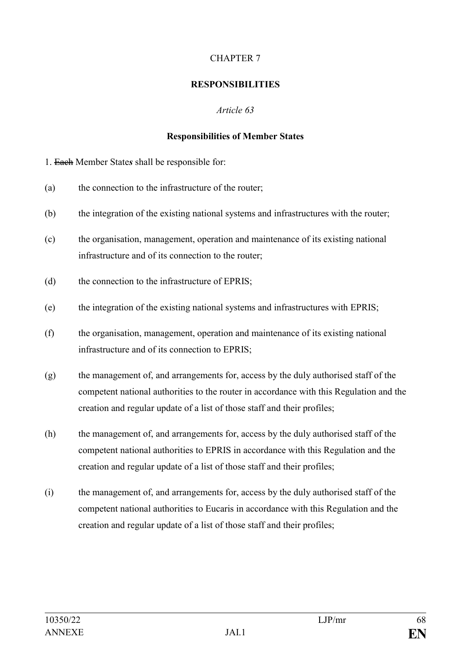# CHAPTER 7

### **RESPONSIBILITIES**

# *Article 63*

### **Responsibilities of Member States**

1. Each Member State*s* shall be responsible for:

- (a) the connection to the infrastructure of the router;
- (b) the integration of the existing national systems and infrastructures with the router;
- (c) the organisation, management, operation and maintenance of its existing national infrastructure and of its connection to the router;
- (d) the connection to the infrastructure of EPRIS;
- (e) the integration of the existing national systems and infrastructures with EPRIS;
- (f) the organisation, management, operation and maintenance of its existing national infrastructure and of its connection to EPRIS;
- (g) the management of, and arrangements for, access by the duly authorised staff of the competent national authorities to the router in accordance with this Regulation and the creation and regular update of a list of those staff and their profiles;
- (h) the management of, and arrangements for, access by the duly authorised staff of the competent national authorities to EPRIS in accordance with this Regulation and the creation and regular update of a list of those staff and their profiles;
- (i) the management of, and arrangements for, access by the duly authorised staff of the competent national authorities to Eucaris in accordance with this Regulation and the creation and regular update of a list of those staff and their profiles;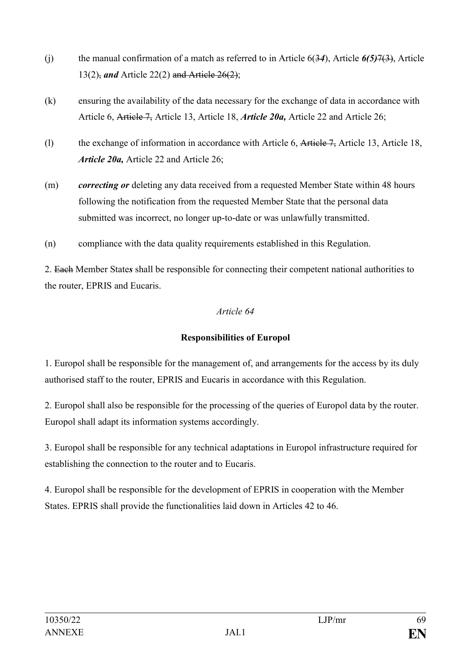- (j) the manual confirmation of a match as referred to in Article 6(3*4*), Article *6(5)*7(3), Article 13(2), *and* Article 22(2) and Article 26(2);
- (k) ensuring the availability of the data necessary for the exchange of data in accordance with Article 6, Article 7, Article 13, Article 18, *Article 20a,* Article 22 and Article 26;
- (l) the exchange of information in accordance with Article 6, Article 7, Article 13, Article 18, *Article 20a,* Article 22 and Article 26;
- (m) *correcting or* deleting any data received from a requested Member State within 48 hours following the notification from the requested Member State that the personal data submitted was incorrect, no longer up-to-date or was unlawfully transmitted.
- (n) compliance with the data quality requirements established in this Regulation.

2. Each Member State*s* shall be responsible for connecting their competent national authorities to the router, EPRIS and Eucaris.

#### *Article 64*

# **Responsibilities of Europol**

1. Europol shall be responsible for the management of, and arrangements for the access by its duly authorised staff to the router, EPRIS and Eucaris in accordance with this Regulation.

2. Europol shall also be responsible for the processing of the queries of Europol data by the router. Europol shall adapt its information systems accordingly.

3. Europol shall be responsible for any technical adaptations in Europol infrastructure required for establishing the connection to the router and to Eucaris.

4. Europol shall be responsible for the development of EPRIS in cooperation with the Member States. EPRIS shall provide the functionalities laid down in Articles 42 to 46.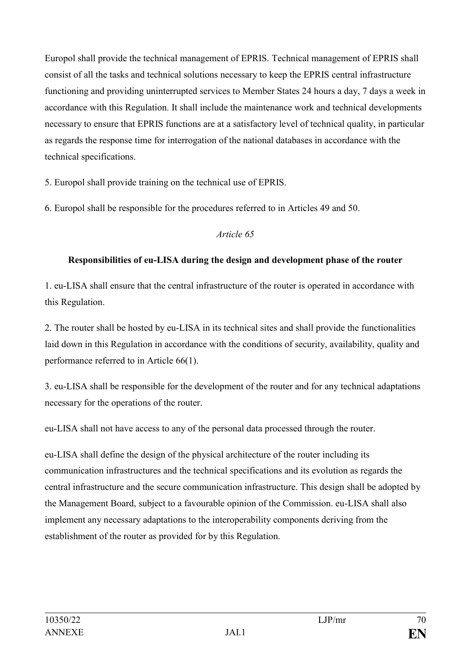Europol shall provide the technical management of EPRIS. Technical management of EPRIS shall consist of all the tasks and technical solutions necessary to keep the EPRIS central infrastructure functioning and providing uninterrupted services to Member States 24 hours a day, 7 days a week in accordance with this Regulation. It shall include the maintenance work and technical developments necessary to ensure that EPRIS functions are at a satisfactory level of technical quality, in particular as regards the response time for interrogation of the national databases in accordance with the technical specifications.

5. Europol shall provide training on the technical use of EPRIS.

6. Europol shall be responsible for the procedures referred to in Articles 49 and 50.

#### *Article 65*

# **Responsibilities of eu-LISA during the design and development phase of the router**

1. eu-LISA shall ensure that the central infrastructure of the router is operated in accordance with this Regulation.

2. The router shall be hosted by eu-LISA in its technical sites and shall provide the functionalities laid down in this Regulation in accordance with the conditions of security, availability, quality and performance referred to in Article 66(1).

3. eu-LISA shall be responsible for the development of the router and for any technical adaptations necessary for the operations of the router.

eu-LISA shall not have access to any of the personal data processed through the router.

eu-LISA shall define the design of the physical architecture of the router including its communication infrastructures and the technical specifications and its evolution as regards the central infrastructure and the secure communication infrastructure. This design shall be adopted by the Management Board, subject to a favourable opinion of the Commission. eu-LISA shall also implement any necessary adaptations to the interoperability components deriving from the establishment of the router as provided for by this Regulation.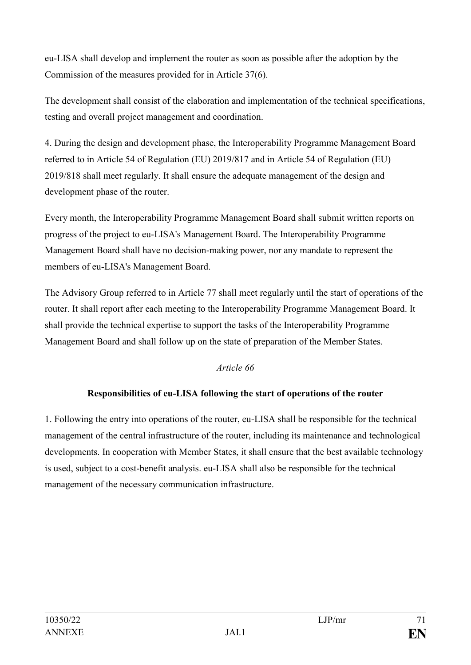eu-LISA shall develop and implement the router as soon as possible after the adoption by the Commission of the measures provided for in Article 37(6).

The development shall consist of the elaboration and implementation of the technical specifications, testing and overall project management and coordination.

4. During the design and development phase, the Interoperability Programme Management Board referred to in Article 54 of Regulation (EU) 2019/817 and in Article 54 of Regulation (EU) 2019/818 shall meet regularly. It shall ensure the adequate management of the design and development phase of the router.

Every month, the Interoperability Programme Management Board shall submit written reports on progress of the project to eu-LISA's Management Board. The Interoperability Programme Management Board shall have no decision-making power, nor any mandate to represent the members of eu-LISA's Management Board.

The Advisory Group referred to in Article 77 shall meet regularly until the start of operations of the router. It shall report after each meeting to the Interoperability Programme Management Board. It shall provide the technical expertise to support the tasks of the Interoperability Programme Management Board and shall follow up on the state of preparation of the Member States.

# *Article 66*

# **Responsibilities of eu-LISA following the start of operations of the router**

1. Following the entry into operations of the router, eu-LISA shall be responsible for the technical management of the central infrastructure of the router, including its maintenance and technological developments. In cooperation with Member States, it shall ensure that the best available technology is used, subject to a cost-benefit analysis. eu-LISA shall also be responsible for the technical management of the necessary communication infrastructure.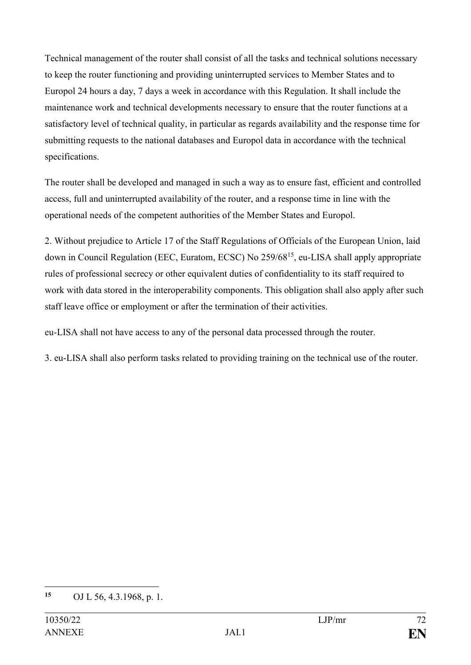Technical management of the router shall consist of all the tasks and technical solutions necessary to keep the router functioning and providing uninterrupted services to Member States and to Europol 24 hours a day, 7 days a week in accordance with this Regulation. It shall include the maintenance work and technical developments necessary to ensure that the router functions at a satisfactory level of technical quality, in particular as regards availability and the response time for submitting requests to the national databases and Europol data in accordance with the technical specifications.

The router shall be developed and managed in such a way as to ensure fast, efficient and controlled access, full and uninterrupted availability of the router, and a response time in line with the operational needs of the competent authorities of the Member States and Europol.

2. Without prejudice to Article 17 of the Staff Regulations of Officials of the European Union, laid down in Council Regulation (EEC, Euratom, ECSC) No 259/68<sup>15</sup>, eu-LISA shall apply appropriate rules of professional secrecy or other equivalent duties of confidentiality to its staff required to work with data stored in the interoperability components. This obligation shall also apply after such staff leave office or employment or after the termination of their activities.

eu-LISA shall not have access to any of the personal data processed through the router.

3. eu-LISA shall also perform tasks related to providing training on the technical use of the router.

 $15$ **<sup>15</sup>** OJ L 56, 4.3.1968, p. 1.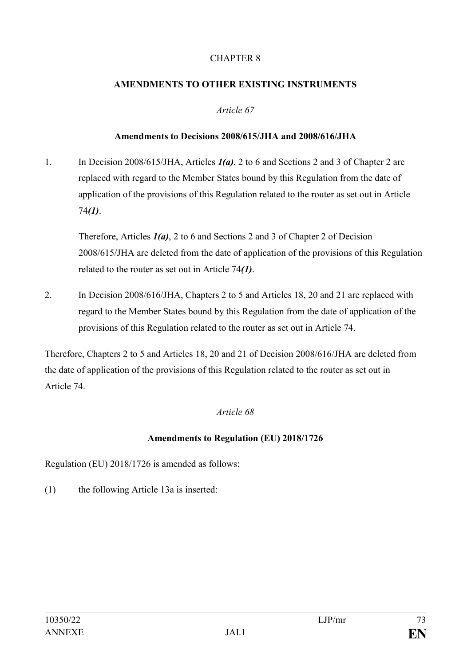# CHAPTER 8

# **AMENDMENTS TO OTHER EXISTING INSTRUMENTS**

# *Article 67*

# **Amendments to Decisions 2008/615/JHA and 2008/616/JHA**

1. In Decision 2008/615/JHA, Articles *1(a)*, 2 to 6 and Sections 2 and 3 of Chapter 2 are replaced with regard to the Member States bound by this Regulation from the date of application of the provisions of this Regulation related to the router as set out in Article 74*(1)*.

Therefore, Articles *1(a)*, 2 to 6 and Sections 2 and 3 of Chapter 2 of Decision 2008/615/JHA are deleted from the date of application of the provisions of this Regulation related to the router as set out in Article 74*(1)*.

2. In Decision 2008/616/JHA, Chapters 2 to 5 and Articles 18, 20 and 21 are replaced with regard to the Member States bound by this Regulation from the date of application of the provisions of this Regulation related to the router as set out in Article 74.

Therefore, Chapters 2 to 5 and Articles 18, 20 and 21 of Decision 2008/616/JHA are deleted from the date of application of the provisions of this Regulation related to the router as set out in Article 74.

# *Article 68*

# **Amendments to Regulation (EU) 2018/1726**

Regulation (EU) 2018/1726 is amended as follows:

(1) the following Article 13a is inserted: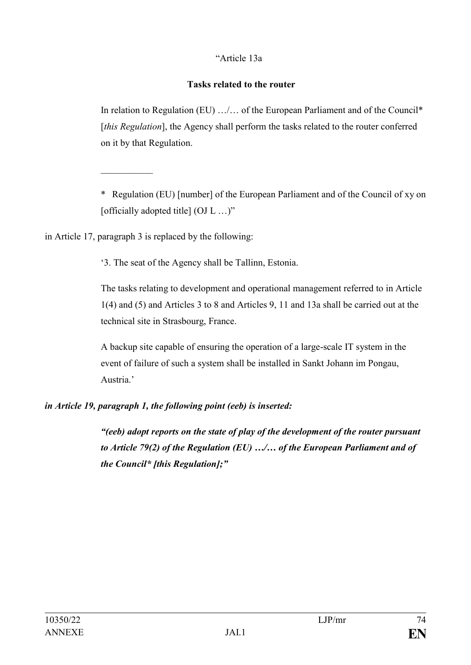# "Article 13a

## **Tasks related to the router**

In relation to Regulation (EU) …/… of the European Parliament and of the Council\* [*this Regulation*], the Agency shall perform the tasks related to the router conferred on it by that Regulation.

\* Regulation (EU) [number] of the European Parliament and of the Council of xy on [officially adopted title]  $(OJ L ... )$ "

in Article 17, paragraph 3 is replaced by the following:

 $\frac{1}{2}$ 

'3. The seat of the Agency shall be Tallinn, Estonia.

The tasks relating to development and operational management referred to in Article 1(4) and (5) and Articles 3 to 8 and Articles 9, 11 and 13a shall be carried out at the technical site in Strasbourg, France.

A backup site capable of ensuring the operation of a large-scale IT system in the event of failure of such a system shall be installed in Sankt Johann im Pongau, Austria.'

# *in Article 19, paragraph 1, the following point (eeb) is inserted:*

*"(eeb) adopt reports on the state of play of the development of the router pursuant to Article 79(2) of the Regulation (EU) …/… of the European Parliament and of the Council\* [this Regulation];"*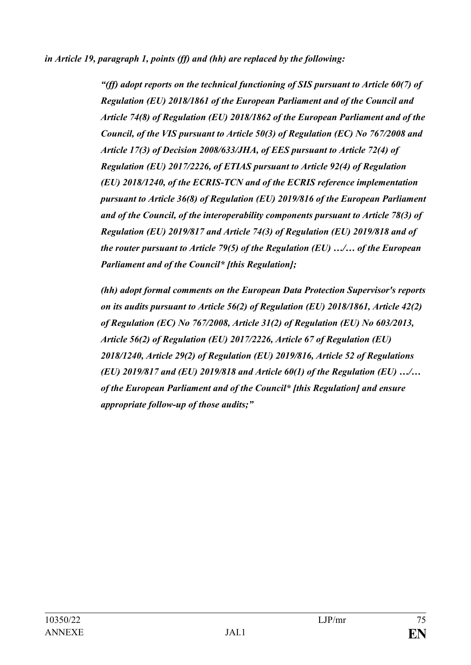*in Article 19, paragraph 1, points (ff) and (hh) are replaced by the following:*

*"(ff) adopt reports on the technical functioning of SIS pursuant to Article 60(7) of Regulation (EU) 2018/1861 of the European Parliament and of the Council and Article 74(8) of Regulation (EU) 2018/1862 of the European Parliament and of the Council, of the VIS pursuant to Article 50(3) of Regulation (EC) No 767/2008 and Article 17(3) of Decision 2008/633/JHA, of EES pursuant to Article 72(4) of Regulation (EU) 2017/2226, of ETIAS pursuant to Article 92(4) of Regulation (EU) 2018/1240, of the ECRIS-TCN and of the ECRIS reference implementation pursuant to Article 36(8) of Regulation (EU) 2019/816 of the European Parliament and of the Council, of the interoperability components pursuant to Article 78(3) of Regulation (EU) 2019/817 and Article 74(3) of Regulation (EU) 2019/818 and of the router pursuant to Article 79(5) of the Regulation (EU) …/… of the European Parliament and of the Council\* [this Regulation];*

*(hh) adopt formal comments on the European Data Protection Supervisor's reports on its audits pursuant to Article 56(2) of Regulation (EU) 2018/1861, Article 42(2) of Regulation (EC) No 767/2008, Article 31(2) of Regulation (EU) No 603/2013, Article 56(2) of Regulation (EU) 2017/2226, Article 67 of Regulation (EU) 2018/1240, Article 29(2) of Regulation (EU) 2019/816, Article 52 of Regulations (EU) 2019/817 and (EU) 2019/818 and Article 60(1) of the Regulation (EU) …/… of the European Parliament and of the Council\* [this Regulation] and ensure appropriate follow-up of those audits;"*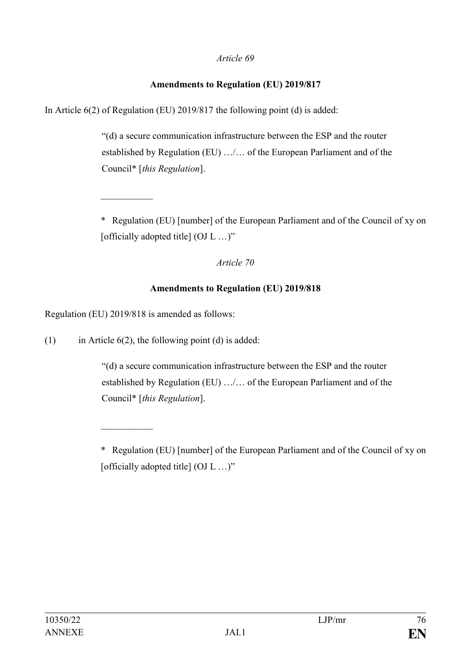# **Amendments to Regulation (EU) 2019/817**

In Article 6(2) of Regulation (EU) 2019/817 the following point (d) is added:

"(d) a secure communication infrastructure between the ESP and the router established by Regulation (EU) …/… of the European Parliament and of the Council\* [*this Regulation*].

\* Regulation (EU) [number] of the European Parliament and of the Council of xy on [officially adopted title] (OJ L ...)"

## *Article 70*

## **Amendments to Regulation (EU) 2019/818**

Regulation (EU) 2019/818 is amended as follows:

 $\frac{1}{2}$ 

 $\mathcal{L}_\text{max}$ 

(1) in Article  $6(2)$ , the following point (d) is added:

"(d) a secure communication infrastructure between the ESP and the router established by Regulation (EU) …/… of the European Parliament and of the Council\* [*this Regulation*].

<sup>\*</sup> Regulation (EU) [number] of the European Parliament and of the Council of xy on [officially adopted title] (OJ L ...)"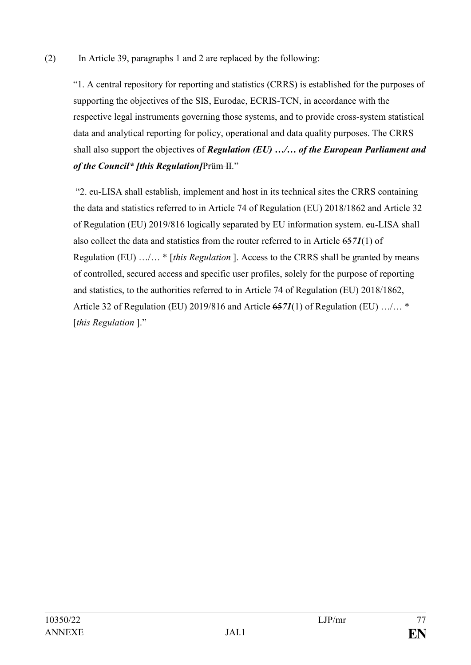# (2) In Article 39, paragraphs 1 and 2 are replaced by the following:

"1. A central repository for reporting and statistics (CRRS) is established for the purposes of supporting the objectives of the SIS, Eurodac, ECRIS-TCN, in accordance with the respective legal instruments governing those systems, and to provide cross-system statistical data and analytical reporting for policy, operational and data quality purposes. The CRRS shall also support the objectives of *Regulation (EU) …/… of the European Parliament and of the Council\* [this Regulation]*Prüm II."

"2. eu-LISA shall establish, implement and host in its technical sites the CRRS containing the data and statistics referred to in Article 74 of Regulation (EU) 2018/1862 and Article 32 of Regulation (EU) 2019/816 logically separated by EU information system. eu-LISA shall also collect the data and statistics from the router referred to in Article 65*71*(1) of Regulation (EU) …/… \* [*this Regulation* ]. Access to the CRRS shall be granted by means of controlled, secured access and specific user profiles, solely for the purpose of reporting and statistics, to the authorities referred to in Article 74 of Regulation (EU) 2018/1862, Article 32 of Regulation (EU) 2019/816 and Article 65*71*(1) of Regulation (EU) …/… \* [*this Regulation* ]."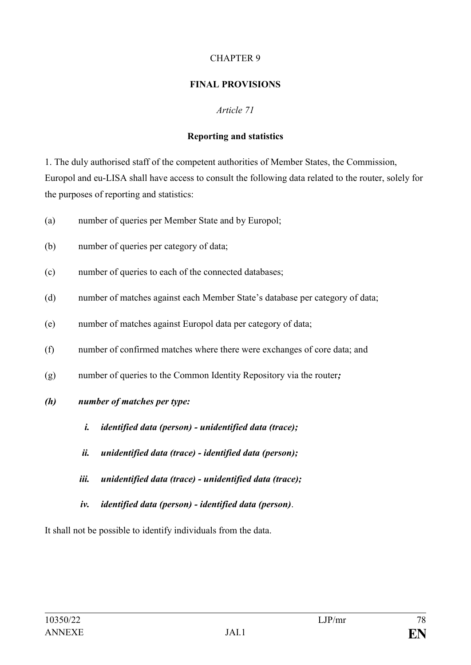## CHAPTER 9

## **FINAL PROVISIONS**

## *Article 71*

## **Reporting and statistics**

1. The duly authorised staff of the competent authorities of Member States, the Commission, Europol and eu-LISA shall have access to consult the following data related to the router, solely for the purposes of reporting and statistics:

- (a) number of queries per Member State and by Europol;
- (b) number of queries per category of data;
- (c) number of queries to each of the connected databases;
- (d) number of matches against each Member State's database per category of data;
- (e) number of matches against Europol data per category of data;
- (f) number of confirmed matches where there were exchanges of core data; and
- (g) number of queries to the Common Identity Repository via the router*;*
- *(h) number of matches per type:*
	- *i. identified data (person) - unidentified data (trace);*
	- *ii. unidentified data (trace) - identified data (person);*
	- *iii. unidentified data (trace) - unidentified data (trace);*
	- *iv. identified data (person) - identified data (person)*.

It shall not be possible to identify individuals from the data.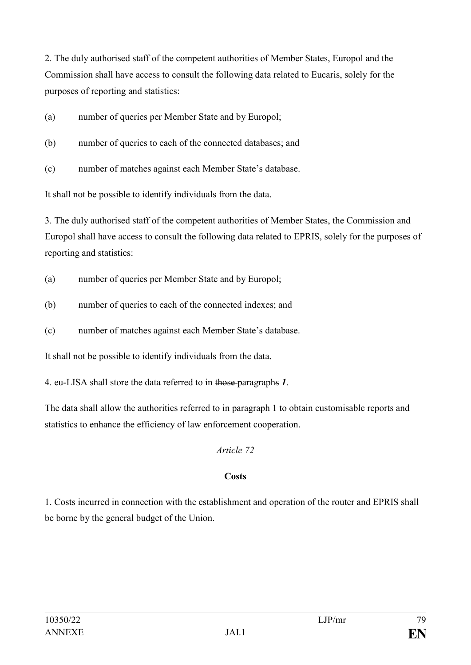2. The duly authorised staff of the competent authorities of Member States, Europol and the Commission shall have access to consult the following data related to Eucaris, solely for the purposes of reporting and statistics:

- (a) number of queries per Member State and by Europol;
- (b) number of queries to each of the connected databases; and
- (c) number of matches against each Member State's database.

It shall not be possible to identify individuals from the data.

3. The duly authorised staff of the competent authorities of Member States, the Commission and Europol shall have access to consult the following data related to EPRIS, solely for the purposes of reporting and statistics:

- (a) number of queries per Member State and by Europol;
- (b) number of queries to each of the connected indexes; and
- (c) number of matches against each Member State's database.

It shall not be possible to identify individuals from the data.

4. eu-LISA shall store the data referred to in those paragraphs *1*.

The data shall allow the authorities referred to in paragraph 1 to obtain customisable reports and statistics to enhance the efficiency of law enforcement cooperation.

# *Article 72*

# **Costs**

1. Costs incurred in connection with the establishment and operation of the router and EPRIS shall be borne by the general budget of the Union.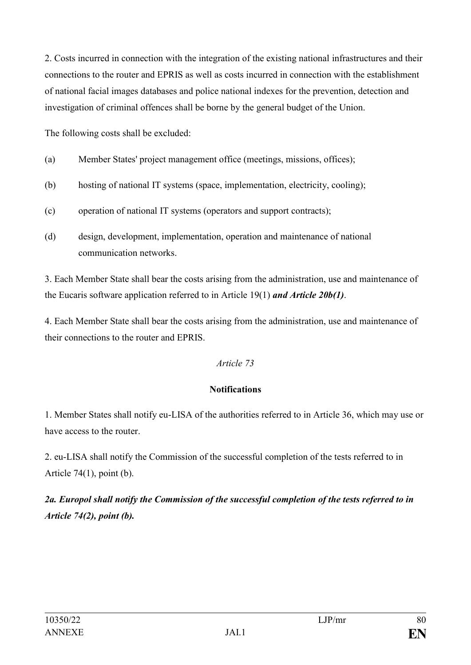2. Costs incurred in connection with the integration of the existing national infrastructures and their connections to the router and EPRIS as well as costs incurred in connection with the establishment of national facial images databases and police national indexes for the prevention, detection and investigation of criminal offences shall be borne by the general budget of the Union.

The following costs shall be excluded:

- (a) Member States' project management office (meetings, missions, offices);
- (b) hosting of national IT systems (space, implementation, electricity, cooling);
- (c) operation of national IT systems (operators and support contracts);
- (d) design, development, implementation, operation and maintenance of national communication networks.

3. Each Member State shall bear the costs arising from the administration, use and maintenance of the Eucaris software application referred to in Article 19(1) *and Article 20b(1)*.

4. Each Member State shall bear the costs arising from the administration, use and maintenance of their connections to the router and EPRIS.

# *Article 73*

# **Notifications**

1. Member States shall notify eu-LISA of the authorities referred to in Article 36, which may use or have access to the router.

2. eu-LISA shall notify the Commission of the successful completion of the tests referred to in Article  $74(1)$ , point (b).

*2a. Europol shall notify the Commission of the successful completion of the tests referred to in Article 74(2), point (b).*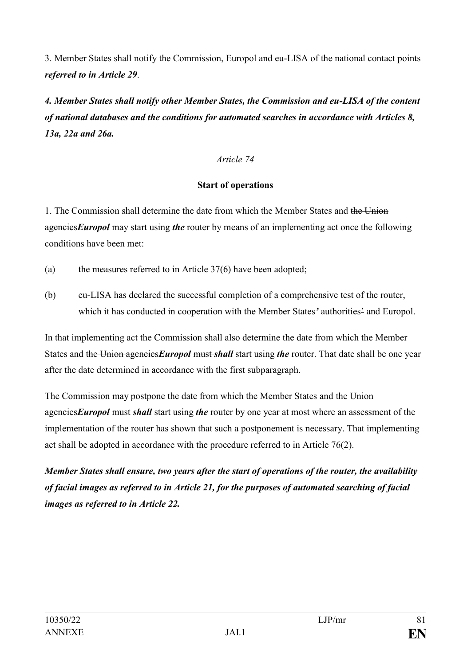3. Member States shall notify the Commission, Europol and eu-LISA of the national contact points *referred to in Article 29*.

*4. Member States shall notify other Member States, the Commission and eu-LISA of the content of national databases and the conditions for automated searches in accordance with Articles 8, 13a, 22a and 26a.*

*Article 74*

# **Start of operations**

1. The Commission shall determine the date from which the Member States and the Union agencies*Europol* may start using *the* router by means of an implementing act once the following conditions have been met:

- (a) the measures referred to in Article 37(6) have been adopted;
- (b) eu-LISA has declared the successful completion of a comprehensive test of the router, which it has conducted in cooperation with the Member States' authorities<sup>2</sup> and Europol.

In that implementing act the Commission shall also determine the date from which the Member States and the Union agencies*Europol* must *shall* start using *the* router. That date shall be one year after the date determined in accordance with the first subparagraph.

The Commission may postpone the date from which the Member States and the Union agencies*Europol* must *shall* start using *the* router by one year at most where an assessment of the implementation of the router has shown that such a postponement is necessary. That implementing act shall be adopted in accordance with the procedure referred to in Article 76(2).

*Member States shall ensure, two years after the start of operations of the router, the availability of facial images as referred to in Article 21, for the purposes of automated searching of facial images as referred to in Article 22.*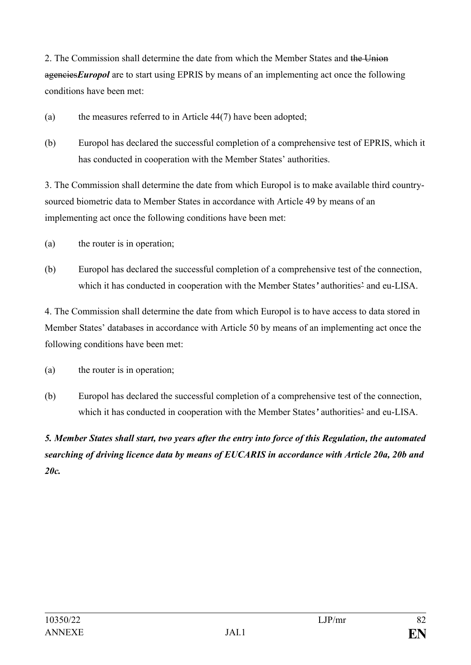2. The Commission shall determine the date from which the Member States and the Union agencies*Europol* are to start using EPRIS by means of an implementing act once the following conditions have been met:

- (a) the measures referred to in Article 44(7) have been adopted;
- (b) Europol has declared the successful completion of a comprehensive test of EPRIS, which it has conducted in cooperation with the Member States' authorities.

3. The Commission shall determine the date from which Europol is to make available third countrysourced biometric data to Member States in accordance with Article 49 by means of an implementing act once the following conditions have been met:

- (a) the router is in operation;
- (b) Europol has declared the successful completion of a comprehensive test of the connection, which it has conducted in cooperation with the Member States*'* authorities' and eu-LISA.

4. The Commission shall determine the date from which Europol is to have access to data stored in Member States' databases in accordance with Article 50 by means of an implementing act once the following conditions have been met:

- (a) the router is in operation;
- (b) Europol has declared the successful completion of a comprehensive test of the connection, which it has conducted in cooperation with the Member States*'* authorities' and eu-LISA.

*5. Member States shall start, two years after the entry into force of this Regulation, the automated searching of driving licence data by means of EUCARIS in accordance with Article 20a, 20b and 20c.*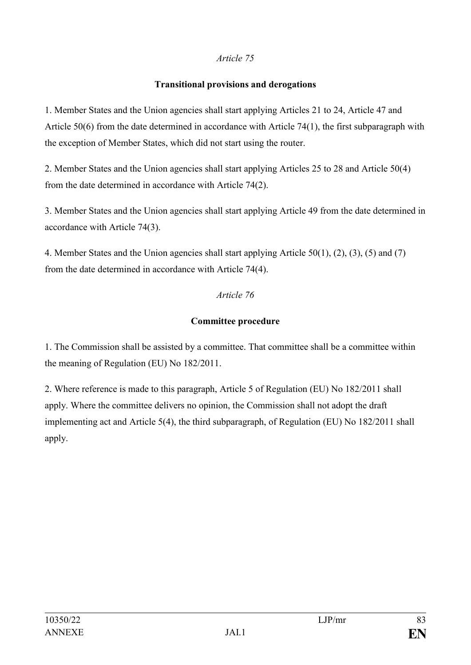## **Transitional provisions and derogations**

1. Member States and the Union agencies shall start applying Articles 21 to 24, Article 47 and Article 50(6) from the date determined in accordance with Article 74(1), the first subparagraph with the exception of Member States, which did not start using the router.

2. Member States and the Union agencies shall start applying Articles 25 to 28 and Article 50(4) from the date determined in accordance with Article 74(2).

3. Member States and the Union agencies shall start applying Article 49 from the date determined in accordance with Article 74(3).

4. Member States and the Union agencies shall start applying Article 50(1), (2), (3), (5) and (7) from the date determined in accordance with Article 74(4).

# *Article 76*

# **Committee procedure**

1. The Commission shall be assisted by a committee. That committee shall be a committee within the meaning of Regulation (EU) No 182/2011.

2. Where reference is made to this paragraph, Article 5 of Regulation (EU) No 182/2011 shall apply. Where the committee delivers no opinion, the Commission shall not adopt the draft implementing act and Article 5(4), the third subparagraph, of Regulation (EU) No 182/2011 shall apply.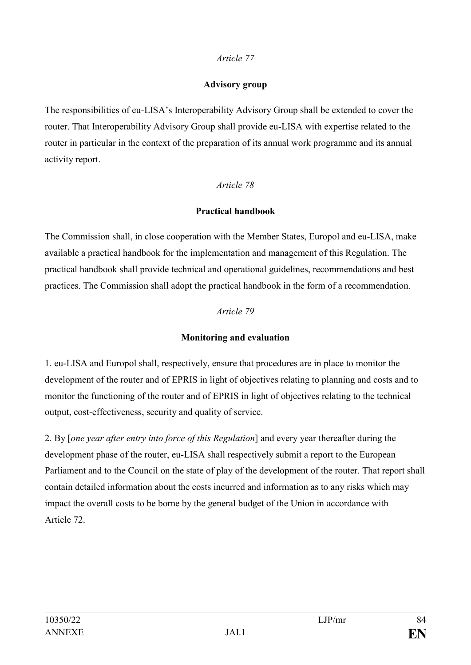#### **Advisory group**

The responsibilities of eu-LISA's Interoperability Advisory Group shall be extended to cover the router. That Interoperability Advisory Group shall provide eu-LISA with expertise related to the router in particular in the context of the preparation of its annual work programme and its annual activity report.

# *Article 78*

# **Practical handbook**

The Commission shall, in close cooperation with the Member States, Europol and eu-LISA, make available a practical handbook for the implementation and management of this Regulation. The practical handbook shall provide technical and operational guidelines, recommendations and best practices. The Commission shall adopt the practical handbook in the form of a recommendation.

## *Article 79*

# **Monitoring and evaluation**

1. eu-LISA and Europol shall, respectively, ensure that procedures are in place to monitor the development of the router and of EPRIS in light of objectives relating to planning and costs and to monitor the functioning of the router and of EPRIS in light of objectives relating to the technical output, cost-effectiveness, security and quality of service.

2. By [*one year after entry into force of this Regulation*] and every year thereafter during the development phase of the router, eu-LISA shall respectively submit a report to the European Parliament and to the Council on the state of play of the development of the router. That report shall contain detailed information about the costs incurred and information as to any risks which may impact the overall costs to be borne by the general budget of the Union in accordance with Article 72.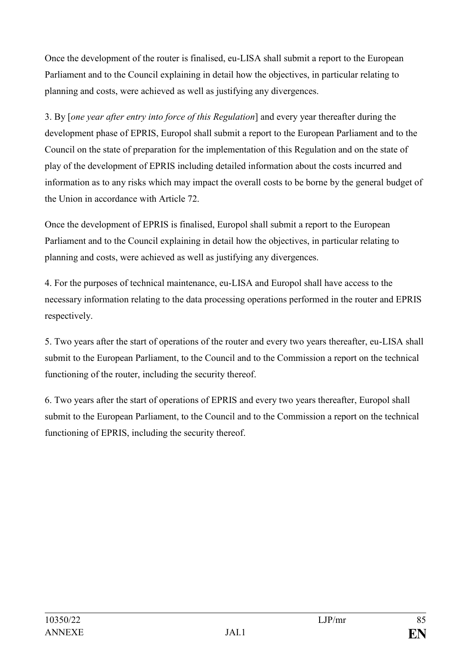Once the development of the router is finalised, eu-LISA shall submit a report to the European Parliament and to the Council explaining in detail how the objectives, in particular relating to planning and costs, were achieved as well as justifying any divergences.

3. By [*one year after entry into force of this Regulation*] and every year thereafter during the development phase of EPRIS, Europol shall submit a report to the European Parliament and to the Council on the state of preparation for the implementation of this Regulation and on the state of play of the development of EPRIS including detailed information about the costs incurred and information as to any risks which may impact the overall costs to be borne by the general budget of the Union in accordance with Article 72.

Once the development of EPRIS is finalised, Europol shall submit a report to the European Parliament and to the Council explaining in detail how the objectives, in particular relating to planning and costs, were achieved as well as justifying any divergences.

4. For the purposes of technical maintenance, eu-LISA and Europol shall have access to the necessary information relating to the data processing operations performed in the router and EPRIS respectively.

5. Two years after the start of operations of the router and every two years thereafter, eu-LISA shall submit to the European Parliament, to the Council and to the Commission a report on the technical functioning of the router, including the security thereof.

6. Two years after the start of operations of EPRIS and every two years thereafter, Europol shall submit to the European Parliament, to the Council and to the Commission a report on the technical functioning of EPRIS, including the security thereof.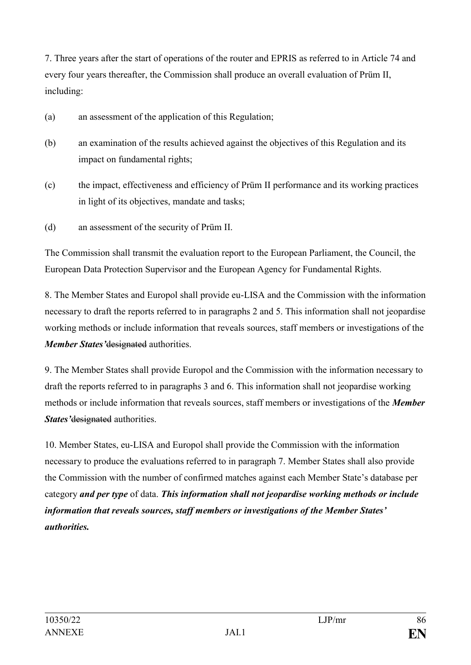7. Three years after the start of operations of the router and EPRIS as referred to in Article 74 and every four years thereafter, the Commission shall produce an overall evaluation of Prüm II, including:

- (a) an assessment of the application of this Regulation;
- (b) an examination of the results achieved against the objectives of this Regulation and its impact on fundamental rights;
- (c) the impact, effectiveness and efficiency of Prüm II performance and its working practices in light of its objectives, mandate and tasks;
- (d) an assessment of the security of Prüm II.

The Commission shall transmit the evaluation report to the European Parliament, the Council, the European Data Protection Supervisor and the European Agency for Fundamental Rights.

8. The Member States and Europol shall provide eu-LISA and the Commission with the information necessary to draft the reports referred to in paragraphs 2 and 5. This information shall not jeopardise working methods or include information that reveals sources, staff members or investigations of the *Member States'*designated authorities.

9. The Member States shall provide Europol and the Commission with the information necessary to draft the reports referred to in paragraphs 3 and 6. This information shall not jeopardise working methods or include information that reveals sources, staff members or investigations of the *Member States'*designated authorities.

10. Member States, eu-LISA and Europol shall provide the Commission with the information necessary to produce the evaluations referred to in paragraph 7. Member States shall also provide the Commission with the number of confirmed matches against each Member State's database per category *and per type* of data. *This information shall not jeopardise working methods or include information that reveals sources, staff members or investigations of the Member States' authorities.*